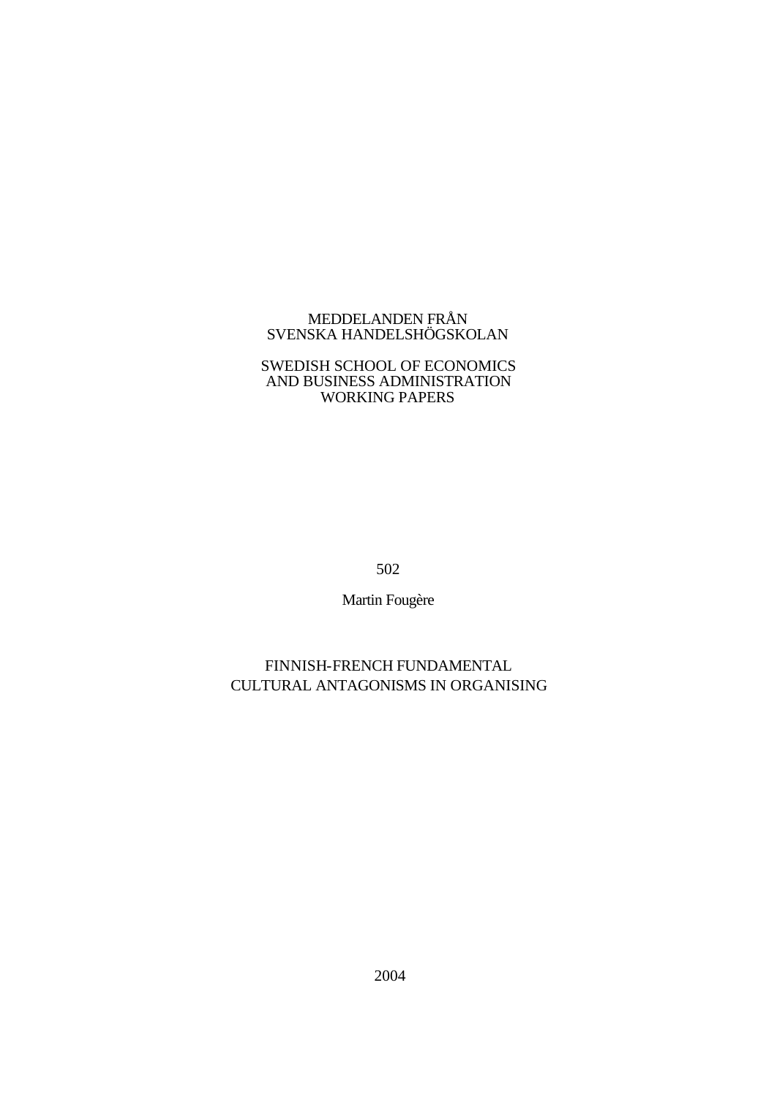## MEDDELANDEN FRÅN SVENSKA HANDELSHÖGSKOLAN

## SWEDISH SCHOOL OF ECONOMICS AND BUSINESS ADMINISTRATION WORKING PAPERS

502

Martin Fougère

# FINNISH-FRENCH FUNDAMENTAL CULTURAL ANTAGONISMS IN ORGANISING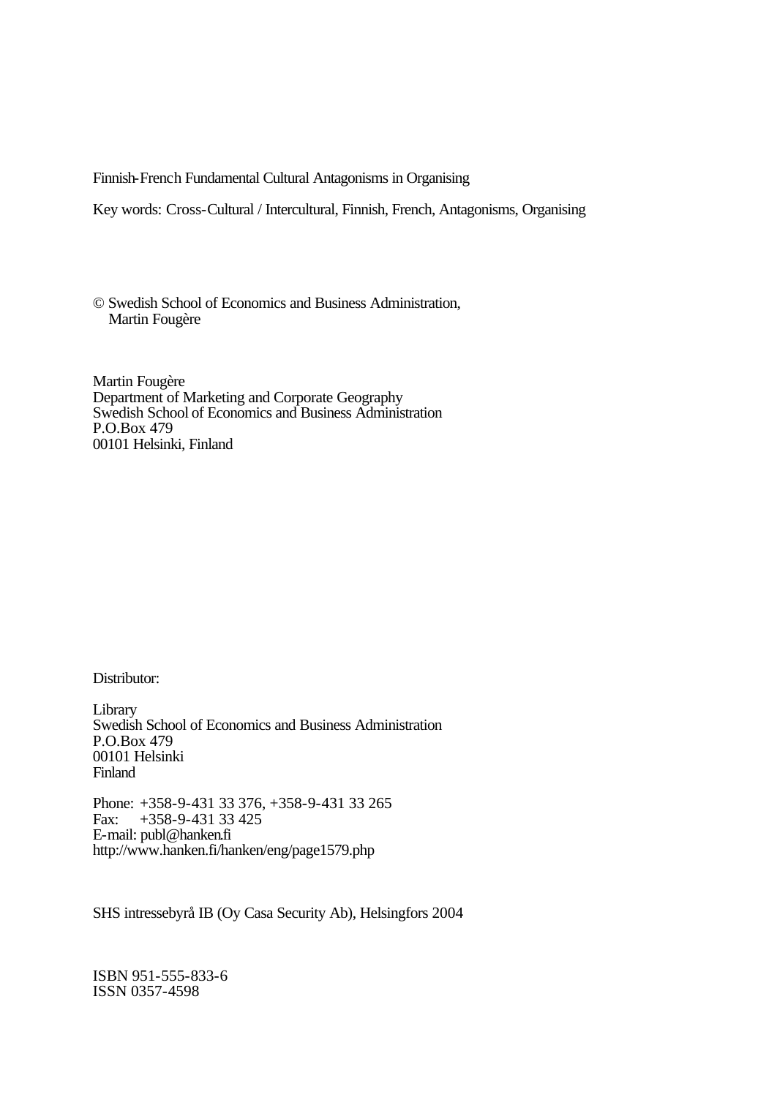Finnish-French Fundamental Cultural Antagonisms in Organising

Key words: Cross-Cultural / Intercultural, Finnish, French, Antagonisms, Organising

© Swedish School of Economics and Business Administration, Martin Fougère

Martin Fougère Department of Marketing and Corporate Geography Swedish School of Economics and Business Administration P.O.Box 479 00101 Helsinki, Finland

Distributor:

Library Swedish School of Economics and Business Administration P.O.Box 479 00101 Helsinki Finland

Phone: +358-9-431 33 376, +358-9-431 33 265<br>Fax: +358-9-431 33 425 Fax: +358-9-431 33 425 E-mail: publ@hanken.fi http://www.hanken.fi/hanken/eng/page1579.php

SHS intressebyrå IB (Oy Casa Security Ab), Helsingfors 2004

ISBN 951-555-833-6 ISSN 0357-4598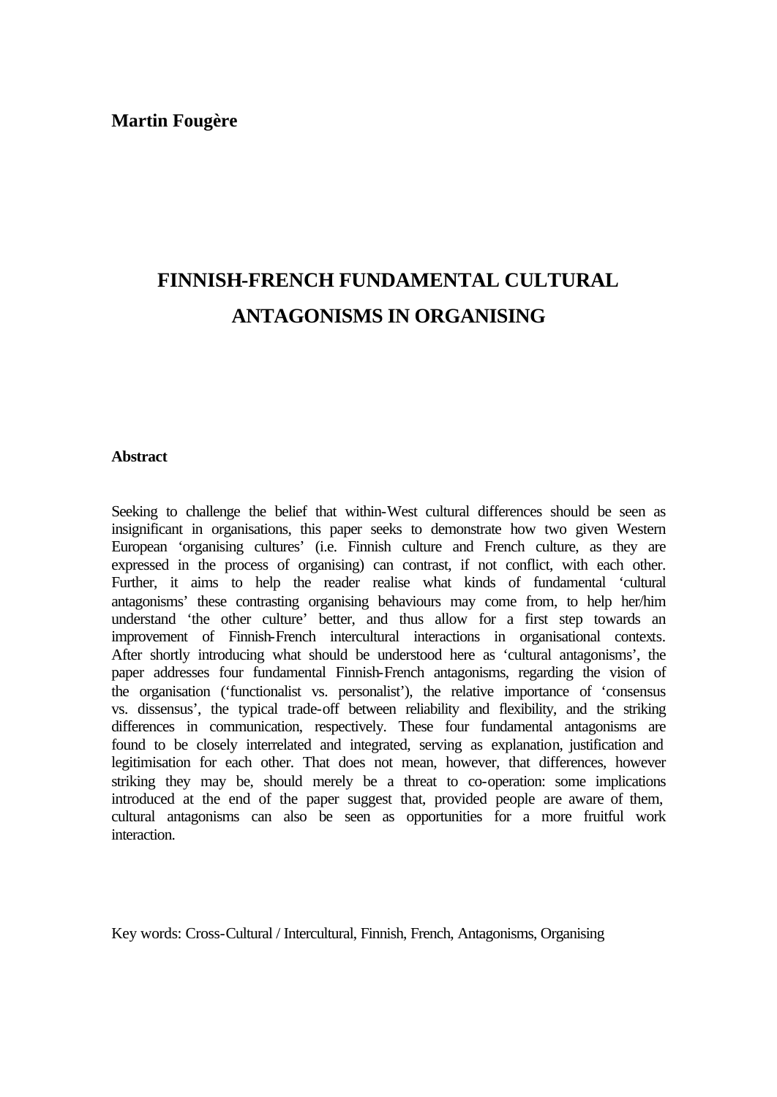## **Martin Fougère**

# **FINNISH-FRENCH FUNDAMENTAL CULTURAL ANTAGONISMS IN ORGANISING**

## **Abstract**

Seeking to challenge the belief that within-West cultural differences should be seen as insignificant in organisations, this paper seeks to demonstrate how two given Western European 'organising cultures' (i.e. Finnish culture and French culture, as they are expressed in the process of organising) can contrast, if not conflict, with each other. Further, it aims to help the reader realise what kinds of fundamental 'cultural antagonisms' these contrasting organising behaviours may come from, to help her/him understand 'the other culture' better, and thus allow for a first step towards an improvement of Finnish-French intercultural interactions in organisational contexts. After shortly introducing what should be understood here as 'cultural antagonisms', the paper addresses four fundamental Finnish-French antagonisms, regarding the vision of the organisation ('functionalist vs. personalist'), the relative importance of 'consensus vs. dissensus', the typical trade-off between reliability and flexibility, and the striking differences in communication, respectively. These four fundamental antagonisms are found to be closely interrelated and integrated, serving as explanation, justification and legitimisation for each other. That does not mean, however, that differences, however striking they may be, should merely be a threat to co-operation: some implications introduced at the end of the paper suggest that, provided people are aware of them, cultural antagonisms can also be seen as opportunities for a more fruitful work interaction.

Key words: Cross-Cultural / Intercultural, Finnish, French, Antagonisms, Organising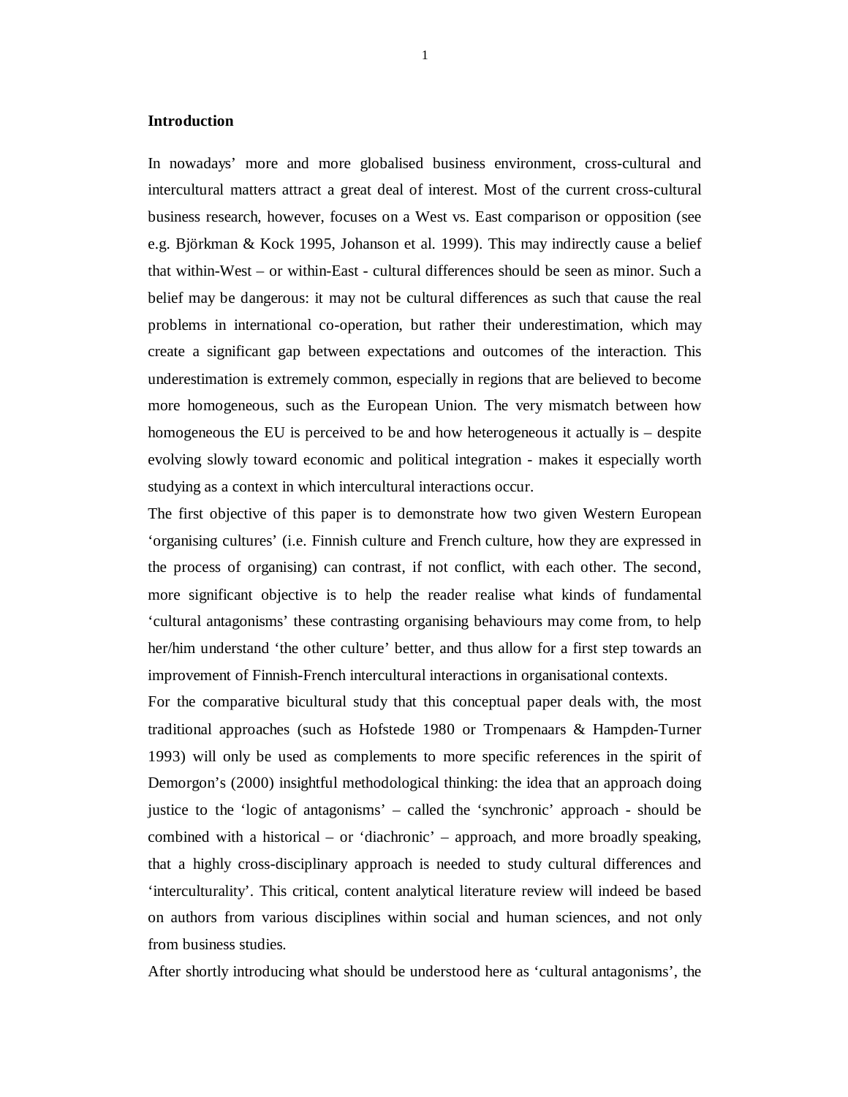#### **Introduction**

In nowadays' more and more globalised business environment, cross-cultural and intercultural matters attract a great deal of interest. Most of the current cross-cultural business research, however, focuses on a West vs. East comparison or opposition (see e.g. Björkman & Kock 1995, Johanson et al. 1999). This may indirectly cause a belief that within-West – or within-East - cultural differences should be seen as minor. Such a belief may be dangerous: it may not be cultural differences as such that cause the real problems in international co-operation, but rather their underestimation, which may create a significant gap between expectations and outcomes of the interaction. This underestimation is extremely common, especially in regions that are believed to become more homogeneous, such as the European Union. The very mismatch between how homogeneous the EU is perceived to be and how heterogeneous it actually is – despite evolving slowly toward economic and political integration - makes it especially worth studying as a context in which intercultural interactions occur.

The first objective of this paper is to demonstrate how two given Western European 'organising cultures' (i.e. Finnish culture and French culture, how they are expressed in the process of organising) can contrast, if not conflict, with each other. The second, more significant objective is to help the reader realise what kinds of fundamental 'cultural antagonisms' these contrasting organising behaviours may come from, to help her/him understand 'the other culture' better, and thus allow for a first step towards an improvement of Finnish-French intercultural interactions in organisational contexts.

For the comparative bicultural study that this conceptual paper deals with, the most traditional approaches (such as Hofstede 1980 or Trompenaars & Hampden-Turner 1993) will only be used as complements to more specific references in the spirit of Demorgon's (2000) insightful methodological thinking: the idea that an approach doing justice to the 'logic of antagonisms' – called the 'synchronic' approach - should be combined with a historical – or 'diachronic' – approach, and more broadly speaking, that a highly cross-disciplinary approach is needed to study cultural differences and 'interculturality'. This critical, content analytical literature review will indeed be based on authors from various disciplines within social and human sciences, and not only from business studies.

After shortly introducing what should be understood here as 'cultural antagonisms', the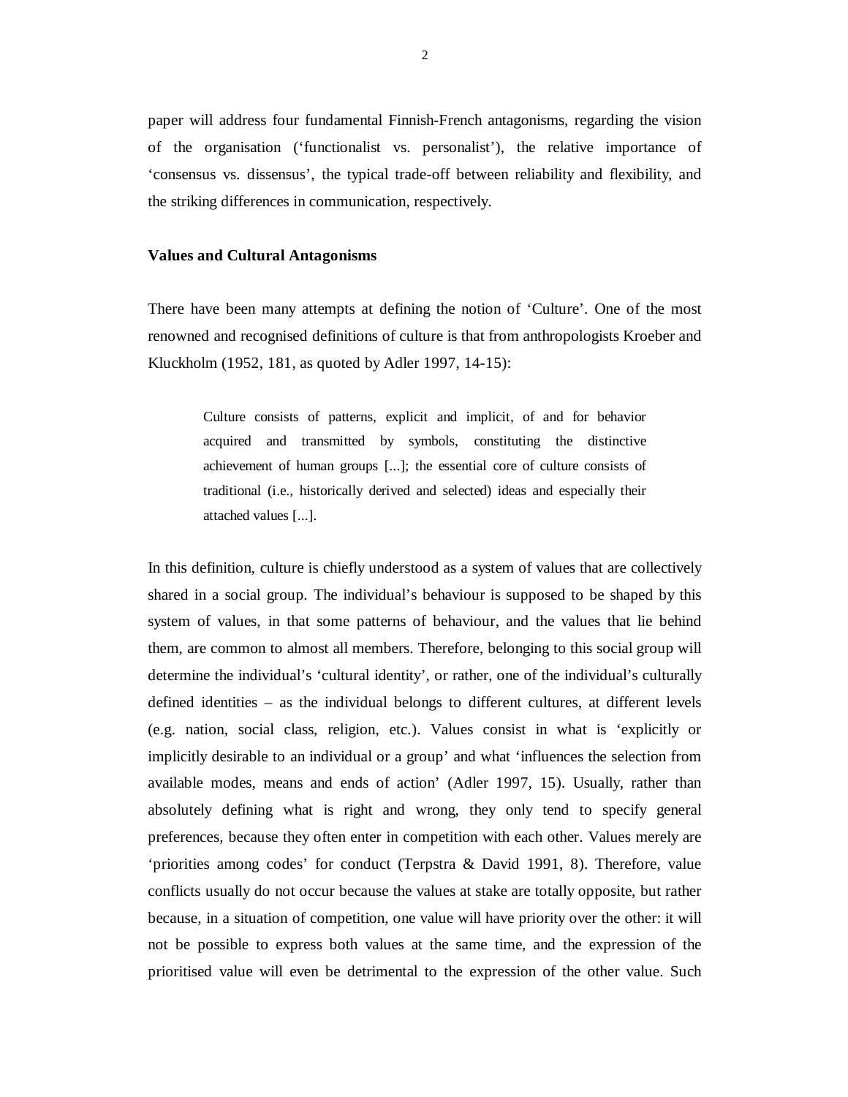paper will address four fundamental Finnish-French antagonisms, regarding the vision of the organisation ('functionalist vs. personalist'), the relative importance of 'consensus vs. dissensus', the typical trade-off between reliability and flexibility, and the striking differences in communication, respectively.

#### **Values and Cultural Antagonisms**

There have been many attempts at defining the notion of 'Culture'. One of the most renowned and recognised definitions of culture is that from anthropologists Kroeber and Kluckholm (1952, 181, as quoted by Adler 1997, 14-15):

> Culture consists of patterns, explicit and implicit, of and for behavior acquired and transmitted by symbols, constituting the distinctive achievement of human groups [...]; the essential core of culture consists of traditional (i.e., historically derived and selected) ideas and especially their attached values [...].

In this definition, culture is chiefly understood as a system of values that are collectively shared in a social group. The individual's behaviour is supposed to be shaped by this system of values, in that some patterns of behaviour, and the values that lie behind them, are common to almost all members. Therefore, belonging to this social group will determine the individual's 'cultural identity', or rather, one of the individual's culturally defined identities – as the individual belongs to different cultures, at different levels (e.g. nation, social class, religion, etc.). Values consist in what is 'explicitly or implicitly desirable to an individual or a group' and what 'influences the selection from available modes, means and ends of action' (Adler 1997, 15). Usually, rather than absolutely defining what is right and wrong, they only tend to specify general preferences, because they often enter in competition with each other. Values merely are 'priorities among codes' for conduct (Terpstra & David 1991, 8). Therefore, value conflicts usually do not occur because the values at stake are totally opposite, but rather because, in a situation of competition, one value will have priority over the other: it will not be possible to express both values at the same time, and the expression of the prioritised value will even be detrimental to the expression of the other value. Such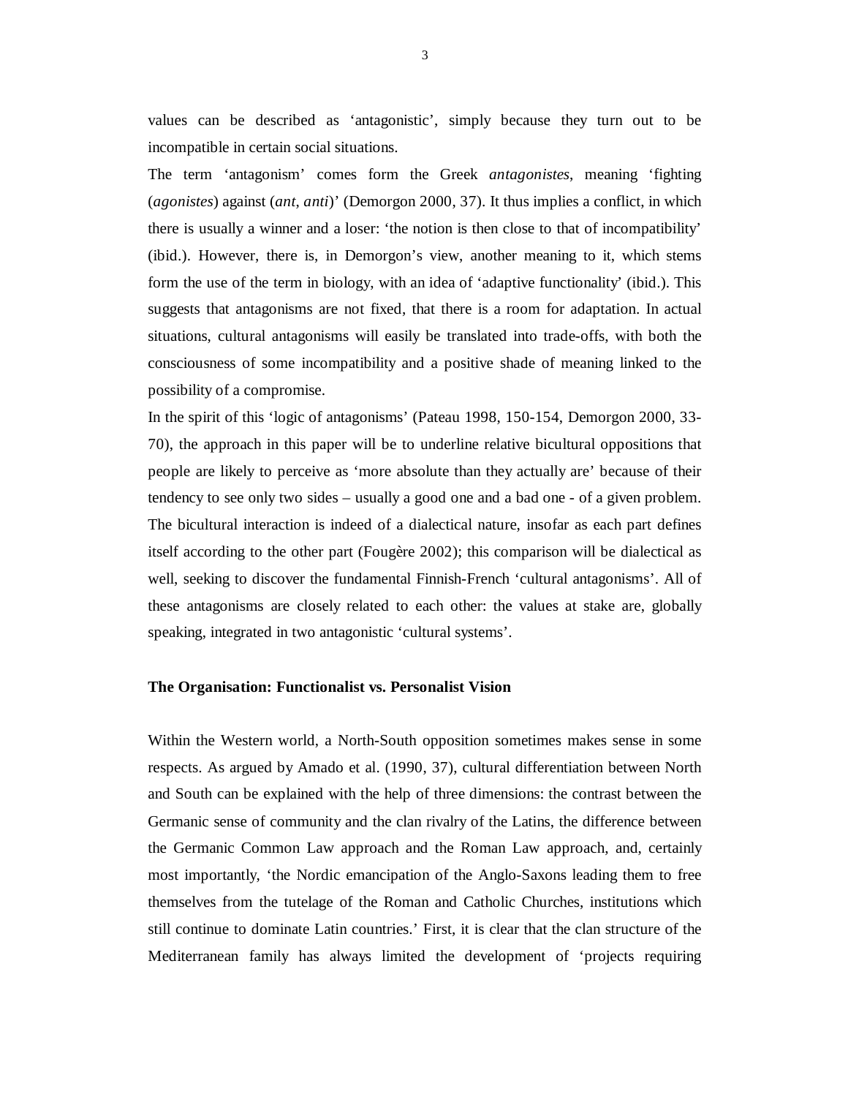values can be described as 'antagonistic', simply because they turn out to be incompatible in certain social situations.

The term 'antagonism' comes form the Greek *antagonistes*, meaning 'fighting (*agonistes*) against (*ant*, *anti*)' (Demorgon 2000, 37). It thus implies a conflict, in which there is usually a winner and a loser: 'the notion is then close to that of incompatibility' (ibid.). However, there is, in Demorgon's view, another meaning to it, which stems form the use of the term in biology, with an idea of 'adaptive functionality' (ibid.). This suggests that antagonisms are not fixed, that there is a room for adaptation. In actual situations, cultural antagonisms will easily be translated into trade-offs, with both the consciousness of some incompatibility and a positive shade of meaning linked to the possibility of a compromise.

In the spirit of this 'logic of antagonisms' (Pateau 1998, 150-154, Demorgon 2000, 33- 70), the approach in this paper will be to underline relative bicultural oppositions that people are likely to perceive as 'more absolute than they actually are' because of their tendency to see only two sides – usually a good one and a bad one - of a given problem. The bicultural interaction is indeed of a dialectical nature, insofar as each part defines itself according to the other part (Fougère 2002); this comparison will be dialectical as well, seeking to discover the fundamental Finnish-French 'cultural antagonisms'. All of these antagonisms are closely related to each other: the values at stake are, globally speaking, integrated in two antagonistic 'cultural systems'.

#### **The Organisation: Functionalist vs. Personalist Vision**

Within the Western world, a North-South opposition sometimes makes sense in some respects. As argued by Amado et al. (1990, 37), cultural differentiation between North and South can be explained with the help of three dimensions: the contrast between the Germanic sense of community and the clan rivalry of the Latins, the difference between the Germanic Common Law approach and the Roman Law approach, and, certainly most importantly, 'the Nordic emancipation of the Anglo-Saxons leading them to free themselves from the tutelage of the Roman and Catholic Churches, institutions which still continue to dominate Latin countries.' First, it is clear that the clan structure of the Mediterranean family has always limited the development of 'projects requiring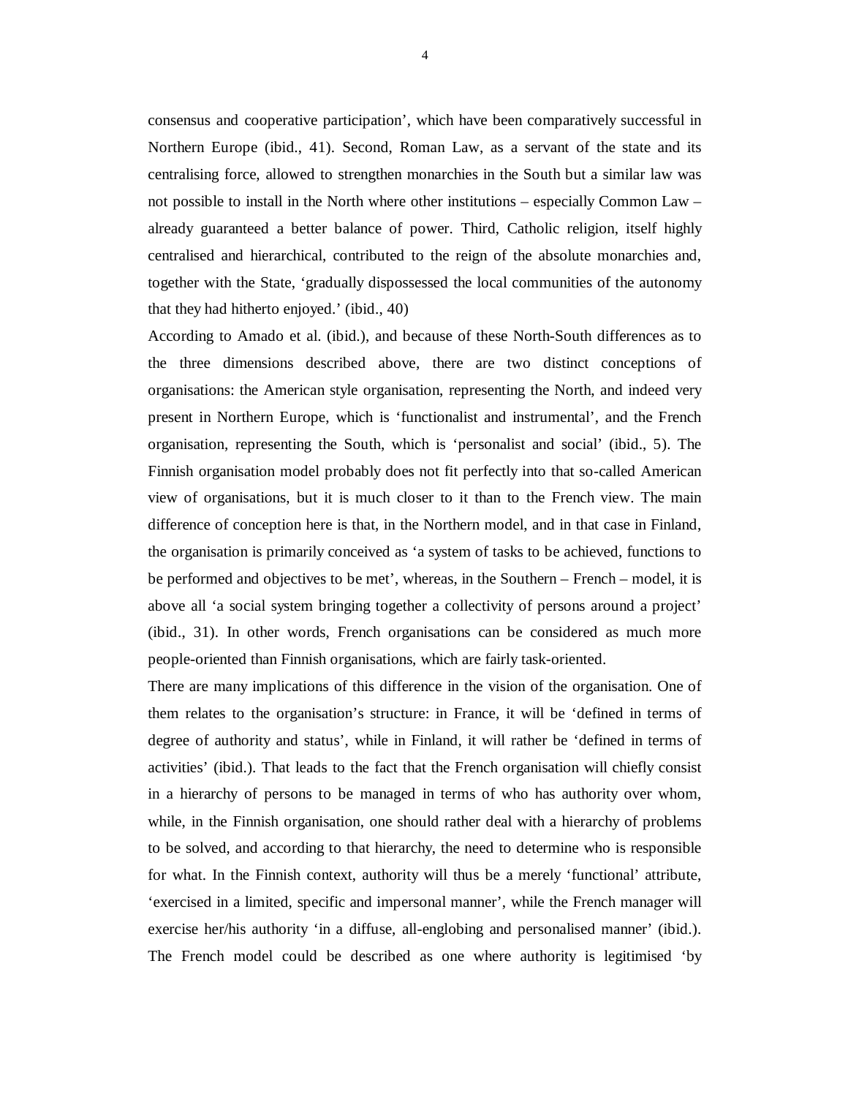consensus and cooperative participation', which have been comparatively successful in Northern Europe (ibid., 41). Second, Roman Law, as a servant of the state and its centralising force, allowed to strengthen monarchies in the South but a similar law was not possible to install in the North where other institutions – especially Common Law – already guaranteed a better balance of power. Third, Catholic religion, itself highly centralised and hierarchical, contributed to the reign of the absolute monarchies and, together with the State, 'gradually dispossessed the local communities of the autonomy that they had hitherto enjoyed.' (ibid., 40)

According to Amado et al. (ibid.), and because of these North-South differences as to the three dimensions described above, there are two distinct conceptions of organisations: the American style organisation, representing the North, and indeed very present in Northern Europe, which is 'functionalist and instrumental', and the French organisation, representing the South, which is 'personalist and social' (ibid., 5). The Finnish organisation model probably does not fit perfectly into that so-called American view of organisations, but it is much closer to it than to the French view. The main difference of conception here is that, in the Northern model, and in that case in Finland, the organisation is primarily conceived as 'a system of tasks to be achieved, functions to be performed and objectives to be met', whereas, in the Southern – French – model, it is above all 'a social system bringing together a collectivity of persons around a project' (ibid., 31). In other words, French organisations can be considered as much more people-oriented than Finnish organisations, which are fairly task-oriented.

There are many implications of this difference in the vision of the organisation. One of them relates to the organisation's structure: in France, it will be 'defined in terms of degree of authority and status', while in Finland, it will rather be 'defined in terms of activities' (ibid.). That leads to the fact that the French organisation will chiefly consist in a hierarchy of persons to be managed in terms of who has authority over whom, while, in the Finnish organisation, one should rather deal with a hierarchy of problems to be solved, and according to that hierarchy, the need to determine who is responsible for what. In the Finnish context, authority will thus be a merely 'functional' attribute, 'exercised in a limited, specific and impersonal manner', while the French manager will exercise her/his authority 'in a diffuse, all-englobing and personalised manner' (ibid.). The French model could be described as one where authority is legitimised 'by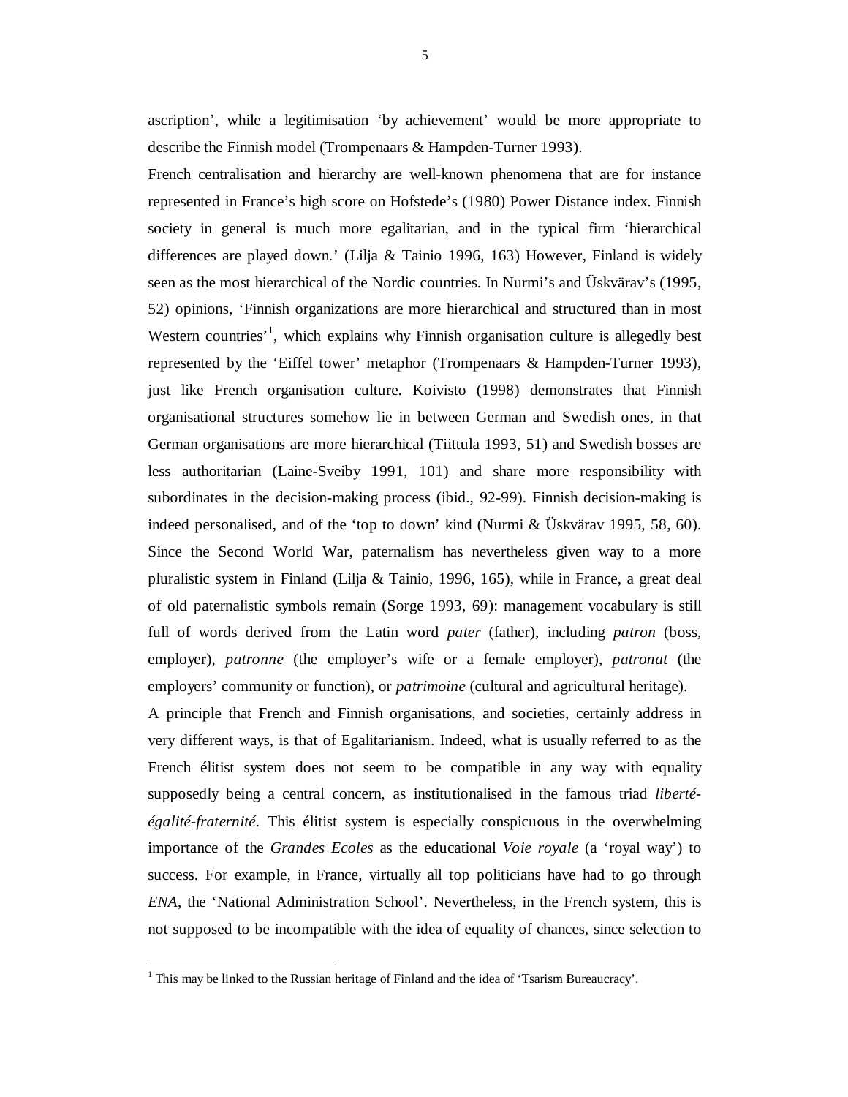ascription', while a legitimisation 'by achievement' would be more appropriate to describe the Finnish model (Trompenaars & Hampden-Turner 1993).

French centralisation and hierarchy are well-known phenomena that are for instance represented in France's high score on Hofstede's (1980) Power Distance index. Finnish society in general is much more egalitarian, and in the typical firm 'hierarchical differences are played down.' (Lilja & Tainio 1996, 163) However, Finland is widely seen as the most hierarchical of the Nordic countries. In Nurmi's and Üskvärav's (1995, 52) opinions, 'Finnish organizations are more hierarchical and structured than in most Western countries<sup>1</sup>, which explains why Finnish organisation culture is allegedly best represented by the 'Eiffel tower' metaphor (Trompenaars & Hampden-Turner 1993), just like French organisation culture. Koivisto (1998) demonstrates that Finnish organisational structures somehow lie in between German and Swedish ones, in that German organisations are more hierarchical (Tiittula 1993, 51) and Swedish bosses are less authoritarian (Laine-Sveiby 1991, 101) and share more responsibility with subordinates in the decision-making process (ibid., 92-99). Finnish decision-making is indeed personalised, and of the 'top to down' kind (Nurmi & Üskvärav 1995, 58, 60). Since the Second World War, paternalism has nevertheless given way to a more pluralistic system in Finland (Lilja & Tainio, 1996, 165), while in France, a great deal of old paternalistic symbols remain (Sorge 1993, 69): management vocabulary is still full of words derived from the Latin word *pater* (father), including *patron* (boss, employer), *patronne* (the employer's wife or a female employer), *patronat* (the employers' community or function), or *patrimoine* (cultural and agricultural heritage).

A principle that French and Finnish organisations, and societies, certainly address in very different ways, is that of Egalitarianism. Indeed, what is usually referred to as the French élitist system does not seem to be compatible in any way with equality supposedly being a central concern, as institutionalised in the famous triad *libertéégalité-fraternité*. This élitist system is especially conspicuous in the overwhelming importance of the *Grandes Ecoles* as the educational *Voie royale* (a 'royal way') to success. For example, in France, virtually all top politicians have had to go through *ENA*, the 'National Administration School'. Nevertheless, in the French system, this is not supposed to be incompatible with the idea of equality of chances, since selection to

-

<sup>&</sup>lt;sup>1</sup> This may be linked to the Russian heritage of Finland and the idea of 'Tsarism Bureaucracy'.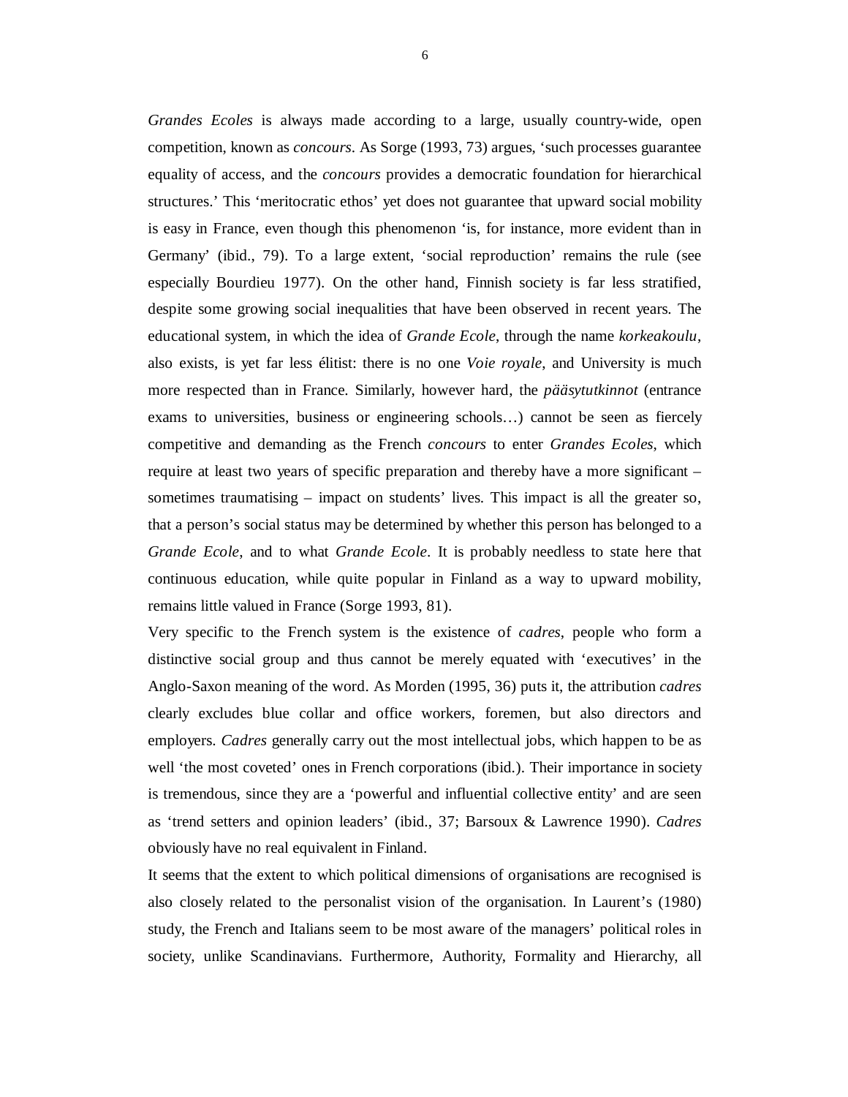*Grandes Ecoles* is always made according to a large, usually country-wide, open competition, known as *concours*. As Sorge (1993, 73) argues, 'such processes guarantee equality of access, and the *concours* provides a democratic foundation for hierarchical structures.' This 'meritocratic ethos' yet does not guarantee that upward social mobility is easy in France, even though this phenomenon 'is, for instance, more evident than in Germany' (ibid., 79). To a large extent, 'social reproduction' remains the rule (see especially Bourdieu 1977). On the other hand, Finnish society is far less stratified, despite some growing social inequalities that have been observed in recent years. The educational system, in which the idea of *Grande Ecole*, through the name *korkeakoulu*, also exists, is yet far less élitist: there is no one *Voie royale*, and University is much more respected than in France. Similarly, however hard, the *pääsytutkinnot* (entrance exams to universities, business or engineering schools…) cannot be seen as fiercely competitive and demanding as the French *concours* to enter *Grandes Ecoles*, which require at least two years of specific preparation and thereby have a more significant – sometimes traumatising – impact on students' lives. This impact is all the greater so, that a person's social status may be determined by whether this person has belonged to a *Grande Ecole*, and to what *Grande Ecole*. It is probably needless to state here that continuous education, while quite popular in Finland as a way to upward mobility, remains little valued in France (Sorge 1993, 81).

Very specific to the French system is the existence of *cadres*, people who form a distinctive social group and thus cannot be merely equated with 'executives' in the Anglo-Saxon meaning of the word. As Morden (1995, 36) puts it, the attribution *cadres* clearly excludes blue collar and office workers, foremen, but also directors and employers. *Cadres* generally carry out the most intellectual jobs, which happen to be as well 'the most coveted' ones in French corporations (ibid.). Their importance in society is tremendous, since they are a 'powerful and influential collective entity' and are seen as 'trend setters and opinion leaders' (ibid., 37; Barsoux & Lawrence 1990). *Cadres* obviously have no real equivalent in Finland.

It seems that the extent to which political dimensions of organisations are recognised is also closely related to the personalist vision of the organisation. In Laurent's (1980) study, the French and Italians seem to be most aware of the managers' political roles in society, unlike Scandinavians. Furthermore, Authority, Formality and Hierarchy, all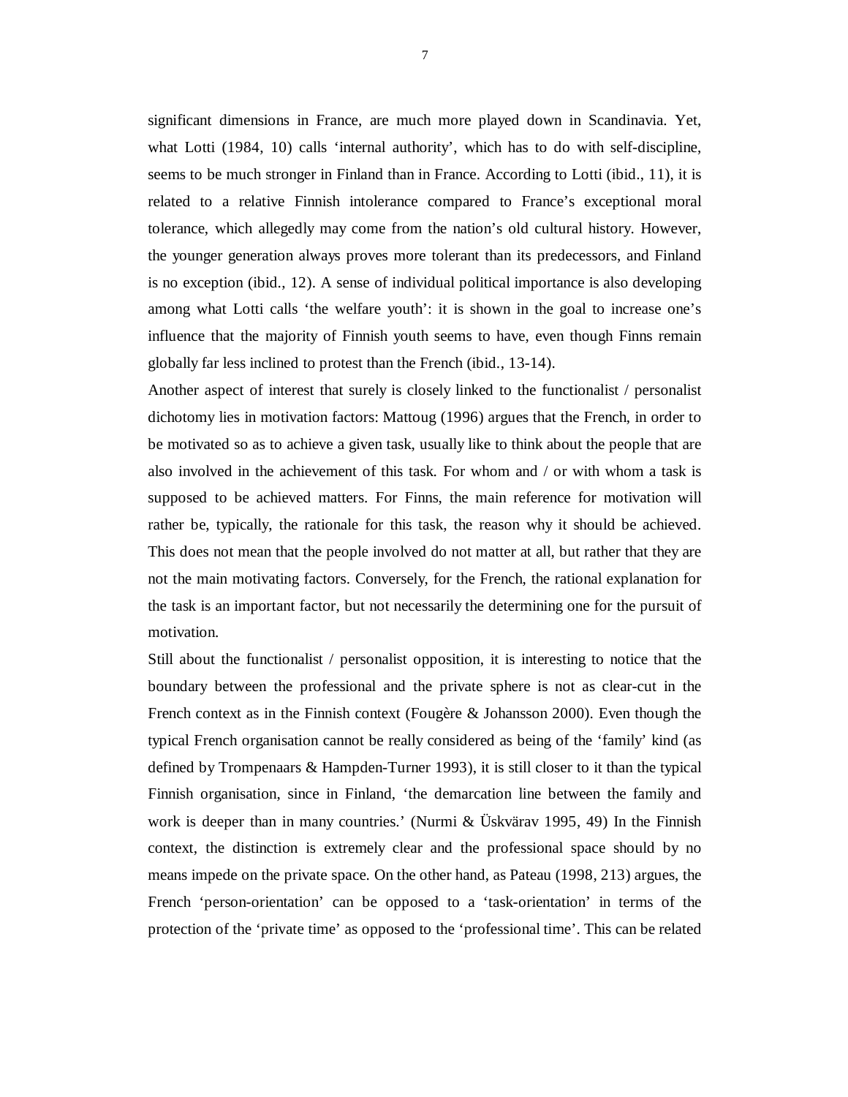significant dimensions in France, are much more played down in Scandinavia. Yet, what Lotti (1984, 10) calls 'internal authority', which has to do with self-discipline, seems to be much stronger in Finland than in France. According to Lotti (ibid., 11), it is related to a relative Finnish intolerance compared to France's exceptional moral tolerance, which allegedly may come from the nation's old cultural history. However, the younger generation always proves more tolerant than its predecessors, and Finland is no exception (ibid., 12). A sense of individual political importance is also developing among what Lotti calls 'the welfare youth': it is shown in the goal to increase one's influence that the majority of Finnish youth seems to have, even though Finns remain globally far less inclined to protest than the French (ibid., 13-14).

Another aspect of interest that surely is closely linked to the functionalist / personalist dichotomy lies in motivation factors: Mattoug (1996) argues that the French, in order to be motivated so as to achieve a given task, usually like to think about the people that are also involved in the achievement of this task. For whom and / or with whom a task is supposed to be achieved matters. For Finns, the main reference for motivation will rather be, typically, the rationale for this task, the reason why it should be achieved. This does not mean that the people involved do not matter at all, but rather that they are not the main motivating factors. Conversely, for the French, the rational explanation for the task is an important factor, but not necessarily the determining one for the pursuit of motivation.

Still about the functionalist / personalist opposition, it is interesting to notice that the boundary between the professional and the private sphere is not as clear-cut in the French context as in the Finnish context (Fougère & Johansson 2000). Even though the typical French organisation cannot be really considered as being of the 'family' kind (as defined by Trompenaars & Hampden-Turner 1993), it is still closer to it than the typical Finnish organisation, since in Finland, 'the demarcation line between the family and work is deeper than in many countries.' (Nurmi & Üskvärav 1995, 49) In the Finnish context, the distinction is extremely clear and the professional space should by no means impede on the private space. On the other hand, as Pateau (1998, 213) argues, the French 'person-orientation' can be opposed to a 'task-orientation' in terms of the protection of the 'private time' as opposed to the 'professional time'. This can be related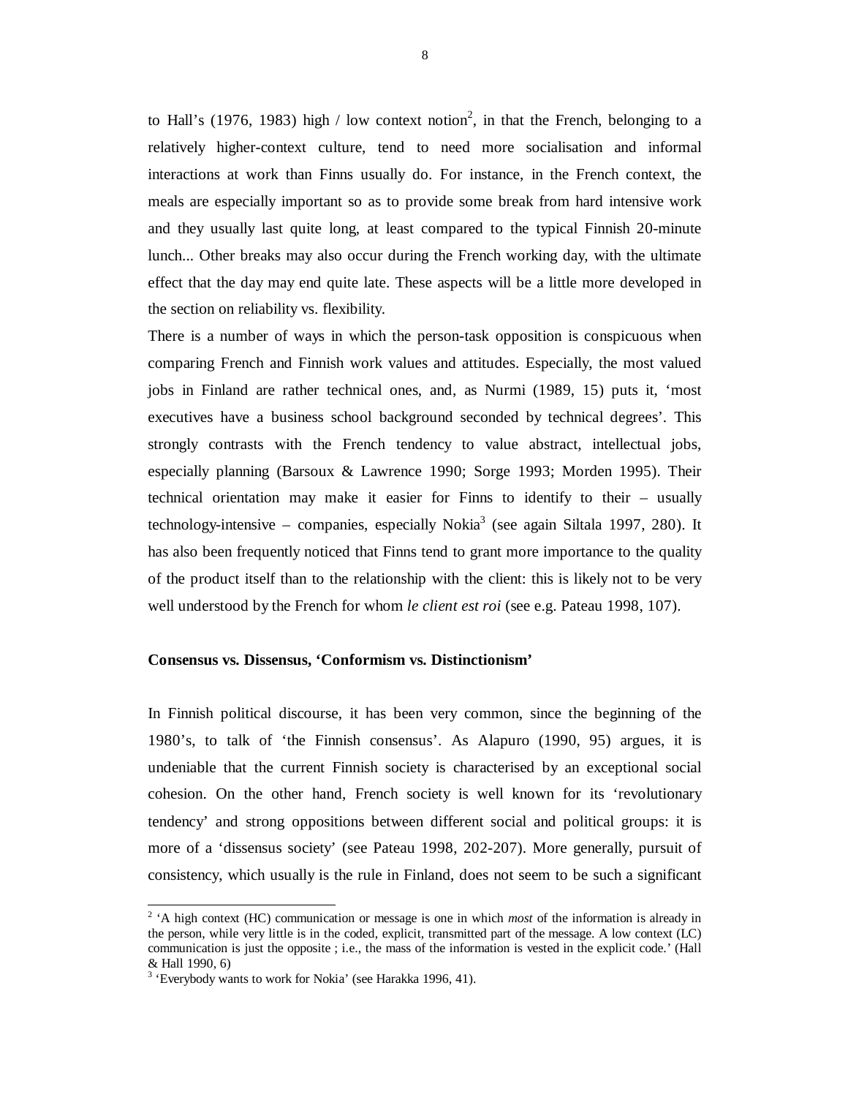to Hall's (1976, 1983) high / low context notion<sup>2</sup>, in that the French, belonging to a relatively higher-context culture, tend to need more socialisation and informal interactions at work than Finns usually do. For instance, in the French context, the meals are especially important so as to provide some break from hard intensive work and they usually last quite long, at least compared to the typical Finnish 20-minute lunch... Other breaks may also occur during the French working day, with the ultimate effect that the day may end quite late. These aspects will be a little more developed in the section on reliability vs. flexibility.

There is a number of ways in which the person-task opposition is conspicuous when comparing French and Finnish work values and attitudes. Especially, the most valued jobs in Finland are rather technical ones, and, as Nurmi (1989, 15) puts it, 'most executives have a business school background seconded by technical degrees'. This strongly contrasts with the French tendency to value abstract, intellectual jobs, especially planning (Barsoux & Lawrence 1990; Sorge 1993; Morden 1995). Their technical orientation may make it easier for Finns to identify to their – usually technology-intensive – companies, especially Nokia<sup>3</sup> (see again Siltala 1997, 280). It has also been frequently noticed that Finns tend to grant more importance to the quality of the product itself than to the relationship with the client: this is likely not to be very well understood by the French for whom *le client est roi* (see e.g. Pateau 1998, 107).

#### **Consensus vs. Dissensus, 'Conformism vs. Distinctionism'**

In Finnish political discourse, it has been very common, since the beginning of the 1980's, to talk of 'the Finnish consensus'. As Alapuro (1990, 95) argues, it is undeniable that the current Finnish society is characterised by an exceptional social cohesion. On the other hand, French society is well known for its 'revolutionary tendency' and strong oppositions between different social and political groups: it is more of a 'dissensus society' (see Pateau 1998, 202-207). More generally, pursuit of consistency, which usually is the rule in Finland, does not seem to be such a significant

<sup>&</sup>lt;sup>2</sup> 'A high context (HC) communication or message is one in which *most* of the information is already in the person, while very little is in the coded, explicit, transmitted part of the message. A low context (LC) communication is just the opposite ; i.e., the mass of the information is vested in the explicit code.' (Hall & Hall 1990, 6)

<sup>&</sup>lt;sup>3</sup> 'Everybody wants to work for Nokia' (see Harakka 1996, 41).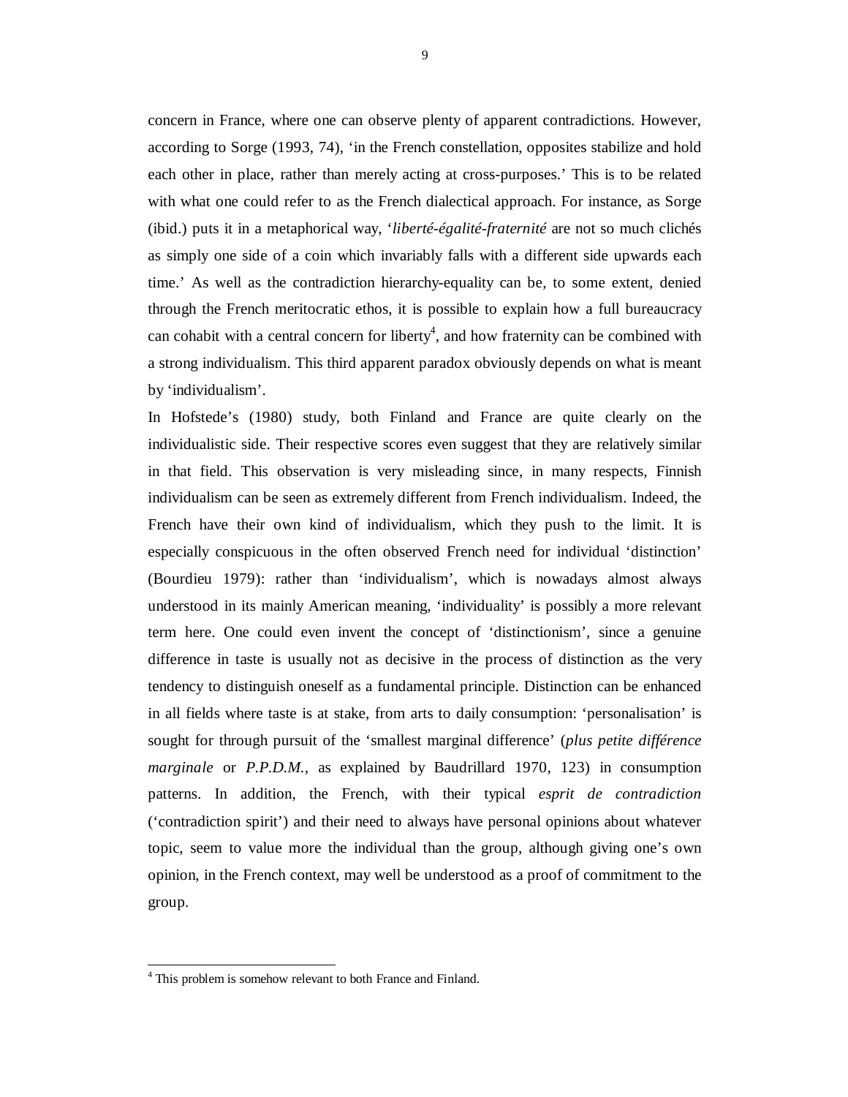concern in France, where one can observe plenty of apparent contradictions. However, according to Sorge (1993, 74), 'in the French constellation, opposites stabilize and hold each other in place, rather than merely acting at cross-purposes.' This is to be related with what one could refer to as the French dialectical approach. For instance, as Sorge (ibid.) puts it in a metaphorical way, '*liberté-égalité-fraternité* are not so much clichés as simply one side of a coin which invariably falls with a different side upwards each time.' As well as the contradiction hierarchy-equality can be, to some extent, denied through the French meritocratic ethos, it is possible to explain how a full bureaucracy can cohabit with a central concern for liberty<sup>4</sup>, and how fraternity can be combined with a strong individualism. This third apparent paradox obviously depends on what is meant by 'individualism'.

In Hofstede's (1980) study, both Finland and France are quite clearly on the individualistic side. Their respective scores even suggest that they are relatively similar in that field. This observation is very misleading since, in many respects, Finnish individualism can be seen as extremely different from French individualism. Indeed, the French have their own kind of individualism, which they push to the limit. It is especially conspicuous in the often observed French need for individual 'distinction' (Bourdieu 1979): rather than 'individualism', which is nowadays almost always understood in its mainly American meaning, 'individuality' is possibly a more relevant term here. One could even invent the concept of 'distinctionism', since a genuine difference in taste is usually not as decisive in the process of distinction as the very tendency to distinguish oneself as a fundamental principle. Distinction can be enhanced in all fields where taste is at stake, from arts to daily consumption: 'personalisation' is sought for through pursuit of the 'smallest marginal difference' (*plus petite différence marginale* or *P.P.D.M.*, as explained by Baudrillard 1970, 123) in consumption patterns. In addition, the French, with their typical *esprit de contradiction* ('contradiction spirit') and their need to always have personal opinions about whatever topic, seem to value more the individual than the group, although giving one's own opinion, in the French context, may well be understood as a proof of commitment to the group.

-

<sup>&</sup>lt;sup>4</sup> This problem is somehow relevant to both France and Finland.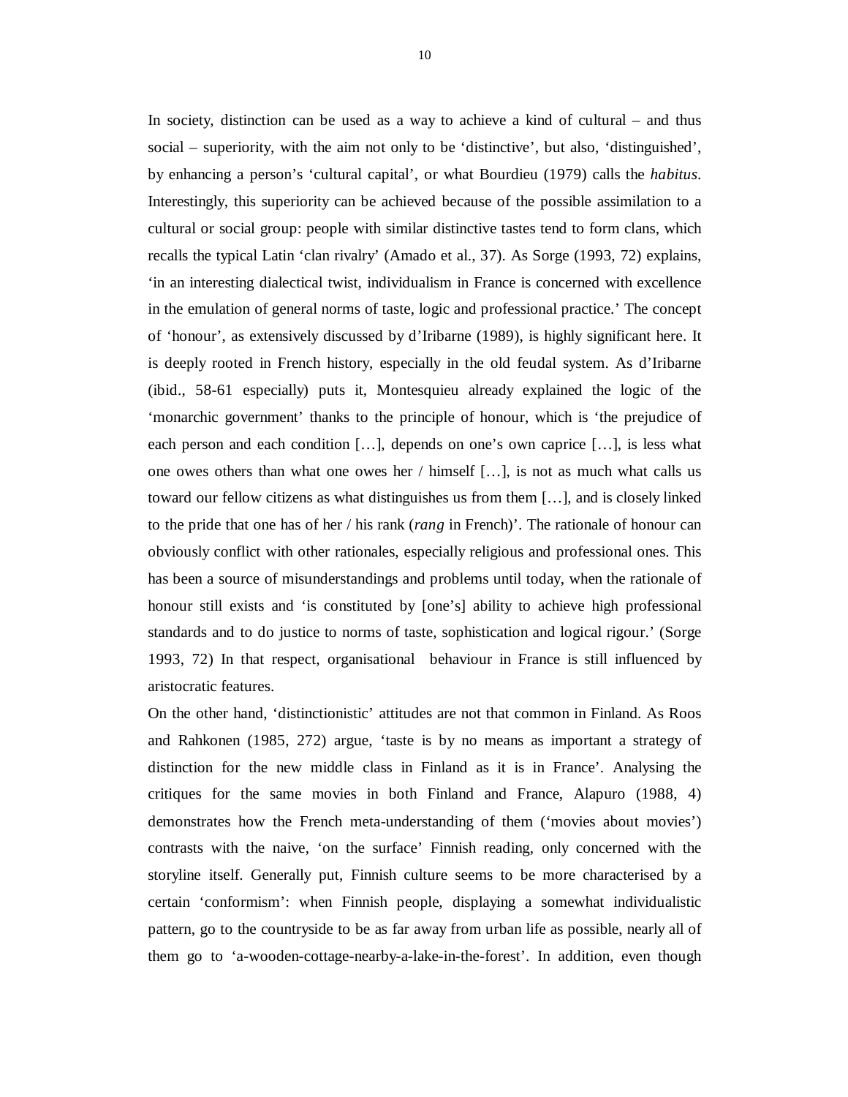In society, distinction can be used as a way to achieve a kind of cultural – and thus social – superiority, with the aim not only to be 'distinctive', but also, 'distinguished', by enhancing a person's 'cultural capital', or what Bourdieu (1979) calls the *habitus*. Interestingly, this superiority can be achieved because of the possible assimilation to a cultural or social group: people with similar distinctive tastes tend to form clans, which recalls the typical Latin 'clan rivalry' (Amado et al., 37). As Sorge (1993, 72) explains, 'in an interesting dialectical twist, individualism in France is concerned with excellence in the emulation of general norms of taste, logic and professional practice.' The concept of 'honour', as extensively discussed by d'Iribarne (1989), is highly significant here. It is deeply rooted in French history, especially in the old feudal system. As d'Iribarne (ibid., 58-61 especially) puts it, Montesquieu already explained the logic of the 'monarchic government' thanks to the principle of honour, which is 'the prejudice of each person and each condition […], depends on one's own caprice […], is less what one owes others than what one owes her / himself […], is not as much what calls us toward our fellow citizens as what distinguishes us from them […], and is closely linked to the pride that one has of her / his rank (*rang* in French)'. The rationale of honour can obviously conflict with other rationales, especially religious and professional ones. This has been a source of misunderstandings and problems until today, when the rationale of honour still exists and 'is constituted by [one's] ability to achieve high professional standards and to do justice to norms of taste, sophistication and logical rigour.' (Sorge 1993, 72) In that respect, organisational behaviour in France is still influenced by aristocratic features.

On the other hand, 'distinctionistic' attitudes are not that common in Finland. As Roos and Rahkonen (1985, 272) argue, 'taste is by no means as important a strategy of distinction for the new middle class in Finland as it is in France'. Analysing the critiques for the same movies in both Finland and France, Alapuro (1988, 4) demonstrates how the French meta-understanding of them ('movies about movies') contrasts with the naive, 'on the surface' Finnish reading, only concerned with the storyline itself. Generally put, Finnish culture seems to be more characterised by a certain 'conformism': when Finnish people, displaying a somewhat individualistic pattern, go to the countryside to be as far away from urban life as possible, nearly all of them go to 'a-wooden-cottage-nearby-a-lake-in-the-forest'. In addition, even though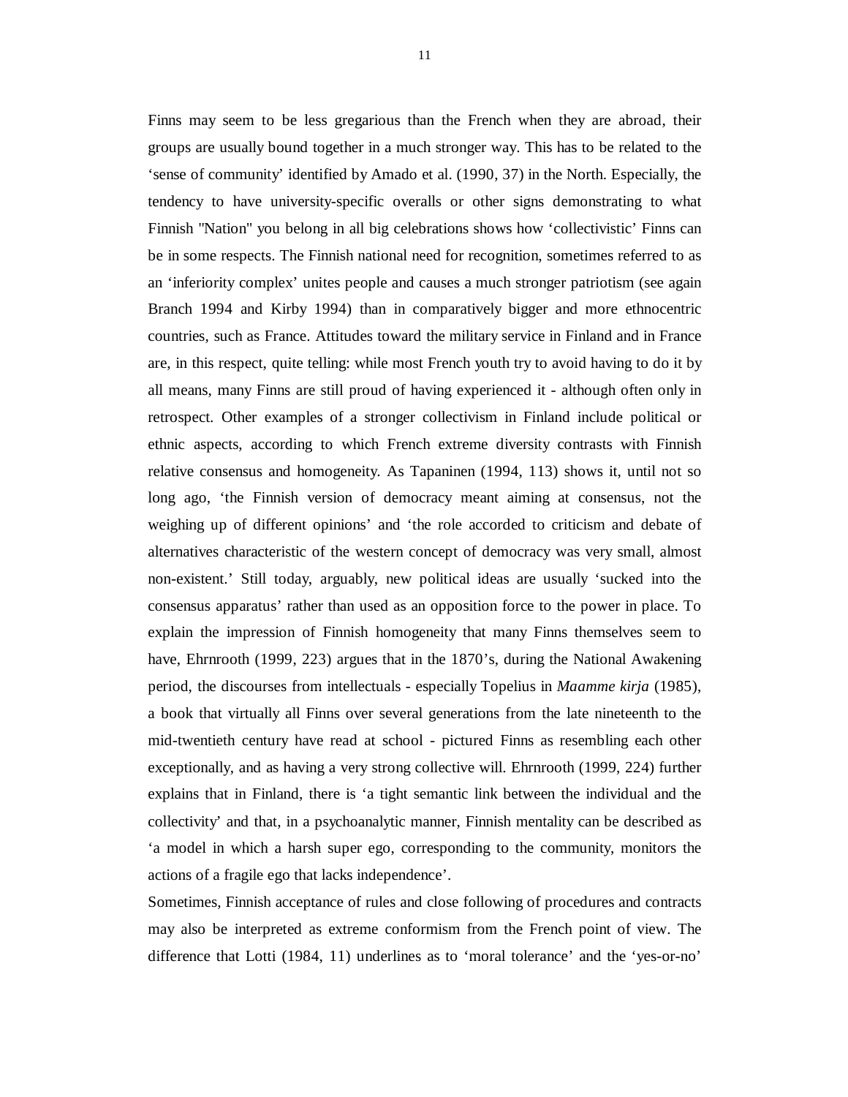Finns may seem to be less gregarious than the French when they are abroad, their groups are usually bound together in a much stronger way. This has to be related to the 'sense of community' identified by Amado et al. (1990, 37) in the North. Especially, the tendency to have university-specific overalls or other signs demonstrating to what Finnish "Nation" you belong in all big celebrations shows how 'collectivistic' Finns can be in some respects. The Finnish national need for recognition, sometimes referred to as an 'inferiority complex' unites people and causes a much stronger patriotism (see again Branch 1994 and Kirby 1994) than in comparatively bigger and more ethnocentric countries, such as France. Attitudes toward the military service in Finland and in France are, in this respect, quite telling: while most French youth try to avoid having to do it by all means, many Finns are still proud of having experienced it - although often only in retrospect. Other examples of a stronger collectivism in Finland include political or ethnic aspects, according to which French extreme diversity contrasts with Finnish relative consensus and homogeneity. As Tapaninen (1994, 113) shows it, until not so long ago, 'the Finnish version of democracy meant aiming at consensus, not the weighing up of different opinions' and 'the role accorded to criticism and debate of alternatives characteristic of the western concept of democracy was very small, almost non-existent.' Still today, arguably, new political ideas are usually 'sucked into the consensus apparatus' rather than used as an opposition force to the power in place. To explain the impression of Finnish homogeneity that many Finns themselves seem to have, Ehrnrooth (1999, 223) argues that in the 1870's, during the National Awakening period, the discourses from intellectuals - especially Topelius in *Maamme kirja* (1985), a book that virtually all Finns over several generations from the late nineteenth to the mid-twentieth century have read at school - pictured Finns as resembling each other exceptionally, and as having a very strong collective will. Ehrnrooth (1999, 224) further explains that in Finland, there is 'a tight semantic link between the individual and the collectivity' and that, in a psychoanalytic manner, Finnish mentality can be described as 'a model in which a harsh super ego, corresponding to the community, monitors the actions of a fragile ego that lacks independence'.

Sometimes, Finnish acceptance of rules and close following of procedures and contracts may also be interpreted as extreme conformism from the French point of view. The difference that Lotti (1984, 11) underlines as to 'moral tolerance' and the 'yes-or-no'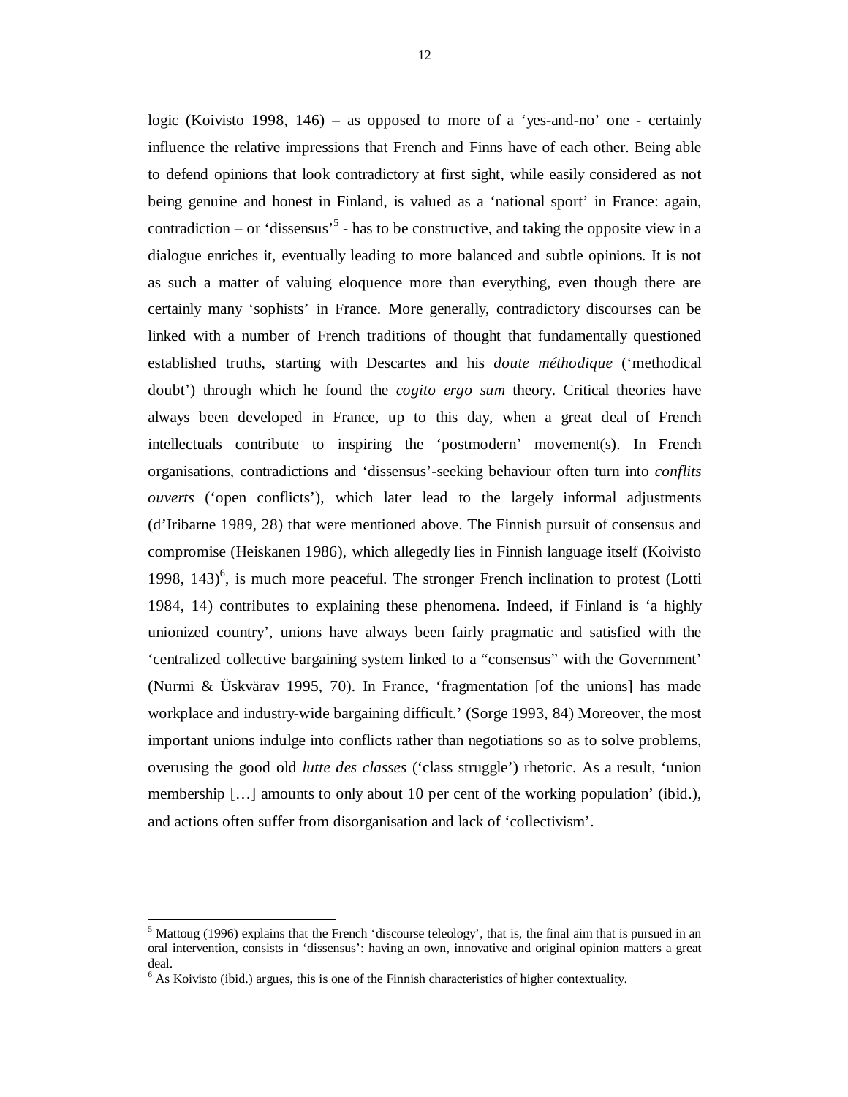logic (Koivisto 1998, 146) – as opposed to more of a 'yes-and-no' one - certainly influence the relative impressions that French and Finns have of each other. Being able to defend opinions that look contradictory at first sight, while easily considered as not being genuine and honest in Finland, is valued as a 'national sport' in France: again, contradiction – or 'dissensus'<sup>5</sup> - has to be constructive, and taking the opposite view in a dialogue enriches it, eventually leading to more balanced and subtle opinions. It is not as such a matter of valuing eloquence more than everything, even though there are certainly many 'sophists' in France. More generally, contradictory discourses can be linked with a number of French traditions of thought that fundamentally questioned established truths, starting with Descartes and his *doute méthodique* ('methodical doubt') through which he found the *cogito ergo sum* theory. Critical theories have always been developed in France, up to this day, when a great deal of French intellectuals contribute to inspiring the 'postmodern' movement(s). In French organisations, contradictions and 'dissensus'-seeking behaviour often turn into *conflits ouverts* ('open conflicts'), which later lead to the largely informal adjustments (d'Iribarne 1989, 28) that were mentioned above. The Finnish pursuit of consensus and compromise (Heiskanen 1986), which allegedly lies in Finnish language itself (Koivisto 1998,  $143)$ <sup>6</sup>, is much more peaceful. The stronger French inclination to protest (Lotti 1984, 14) contributes to explaining these phenomena. Indeed, if Finland is 'a highly unionized country', unions have always been fairly pragmatic and satisfied with the 'centralized collective bargaining system linked to a "consensus" with the Government' (Nurmi & Üskvärav 1995, 70). In France, 'fragmentation [of the unions] has made workplace and industry-wide bargaining difficult.' (Sorge 1993, 84) Moreover, the most important unions indulge into conflicts rather than negotiations so as to solve problems, overusing the good old *lutte des classes* ('class struggle') rhetoric. As a result, 'union membership […] amounts to only about 10 per cent of the working population' (ibid.), and actions often suffer from disorganisation and lack of 'collectivism'.

-

<sup>&</sup>lt;sup>5</sup> Mattoug (1996) explains that the French 'discourse teleology', that is, the final aim that is pursued in an oral intervention, consists in 'dissensus': having an own, innovative and original opinion matters a great deal.

 $<sup>6</sup>$  As Koivisto (ibid.) argues, this is one of the Finnish characteristics of higher contextuality.</sup>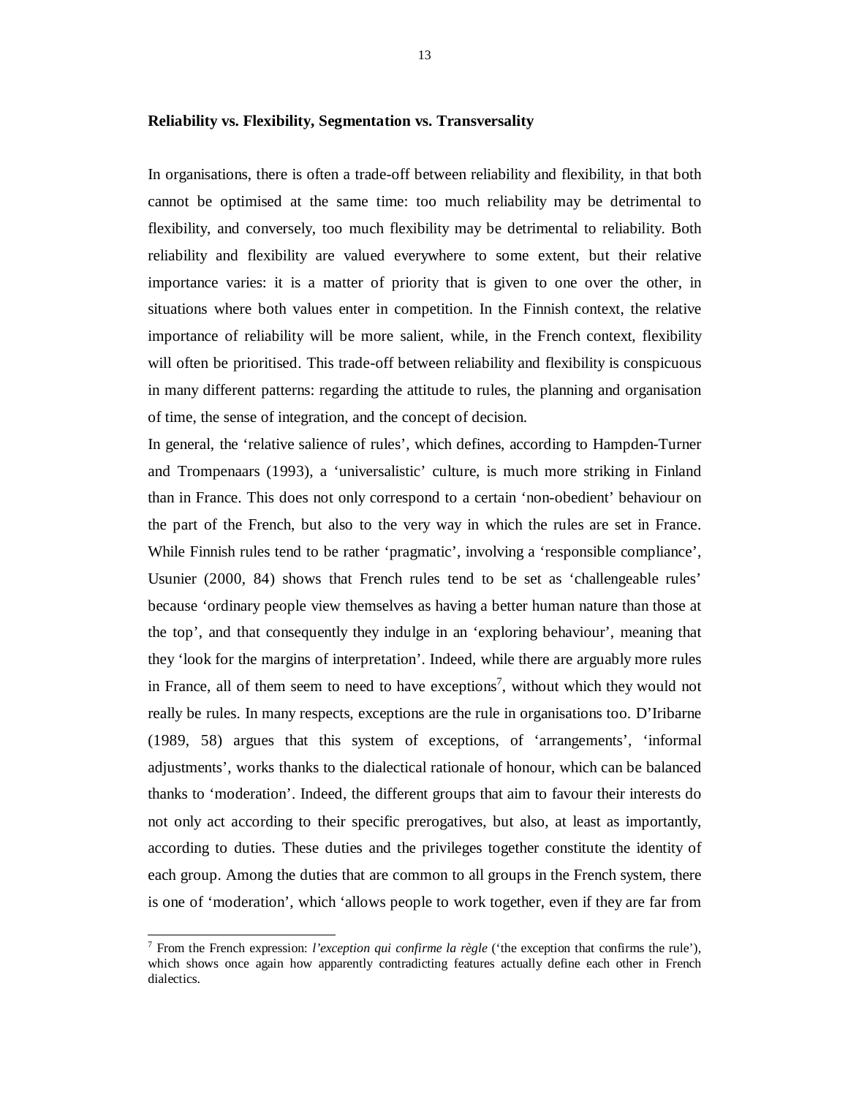#### **Reliability vs. Flexibility, Segmentation vs. Transversality**

In organisations, there is often a trade-off between reliability and flexibility, in that both cannot be optimised at the same time: too much reliability may be detrimental to flexibility, and conversely, too much flexibility may be detrimental to reliability. Both reliability and flexibility are valued everywhere to some extent, but their relative importance varies: it is a matter of priority that is given to one over the other, in situations where both values enter in competition. In the Finnish context, the relative importance of reliability will be more salient, while, in the French context, flexibility will often be prioritised. This trade-off between reliability and flexibility is conspicuous in many different patterns: regarding the attitude to rules, the planning and organisation of time, the sense of integration, and the concept of decision.

In general, the 'relative salience of rules', which defines, according to Hampden-Turner and Trompenaars (1993), a 'universalistic' culture, is much more striking in Finland than in France. This does not only correspond to a certain 'non-obedient' behaviour on the part of the French, but also to the very way in which the rules are set in France. While Finnish rules tend to be rather 'pragmatic', involving a 'responsible compliance', Usunier (2000, 84) shows that French rules tend to be set as 'challengeable rules' because 'ordinary people view themselves as having a better human nature than those at the top', and that consequently they indulge in an 'exploring behaviour', meaning that they 'look for the margins of interpretation'. Indeed, while there are arguably more rules in France, all of them seem to need to have exceptions<sup>7</sup>, without which they would not really be rules. In many respects, exceptions are the rule in organisations too. D'Iribarne (1989, 58) argues that this system of exceptions, of 'arrangements', 'informal adjustments', works thanks to the dialectical rationale of honour, which can be balanced thanks to 'moderation'. Indeed, the different groups that aim to favour their interests do not only act according to their specific prerogatives, but also, at least as importantly, according to duties. These duties and the privileges together constitute the identity of each group. Among the duties that are common to all groups in the French system, there is one of 'moderation', which 'allows people to work together, even if they are far from

1

<sup>7</sup> From the French expression: *l'exception qui confirme la règle* ('the exception that confirms the rule'), which shows once again how apparently contradicting features actually define each other in French dialectics.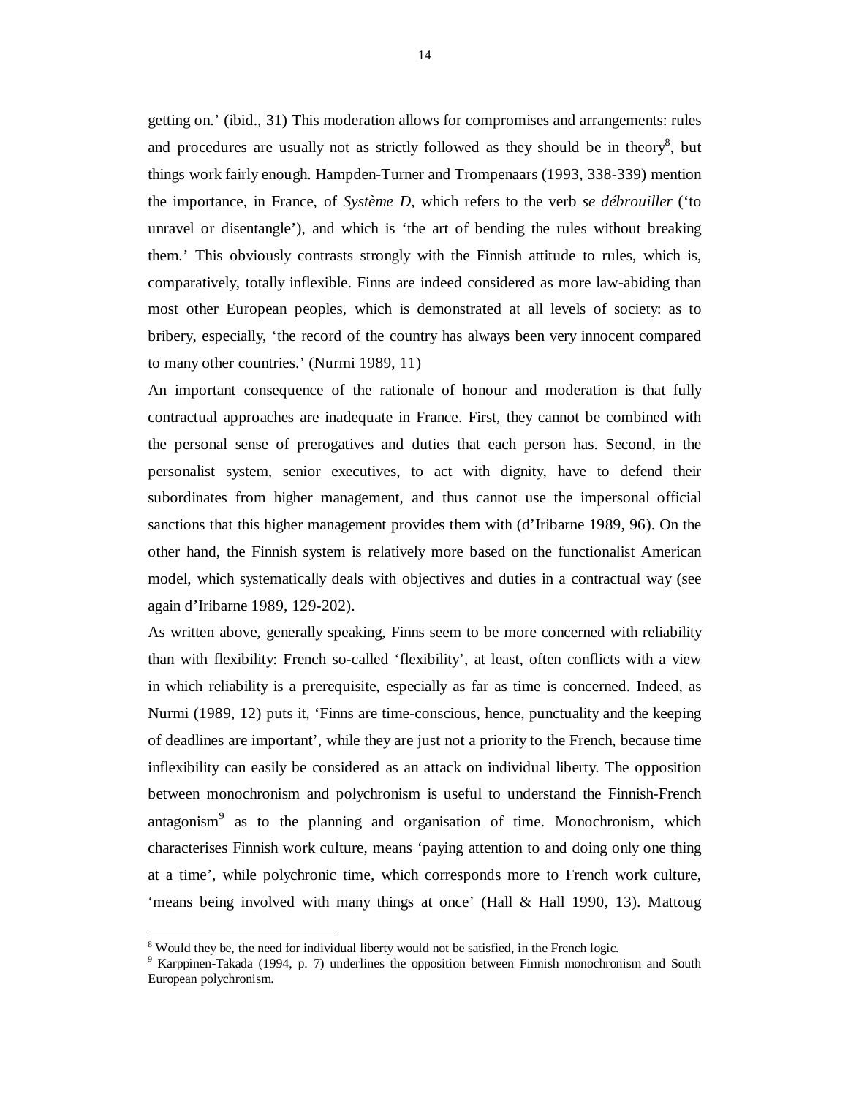getting on.' (ibid., 31) This moderation allows for compromises and arrangements: rules and procedures are usually not as strictly followed as they should be in theory $\delta$ , but things work fairly enough. Hampden-Turner and Trompenaars (1993, 338-339) mention the importance, in France, of *Système D*, which refers to the verb *se débrouiller* ('to unravel or disentangle'), and which is 'the art of bending the rules without breaking them.' This obviously contrasts strongly with the Finnish attitude to rules, which is, comparatively, totally inflexible. Finns are indeed considered as more law-abiding than most other European peoples, which is demonstrated at all levels of society: as to bribery, especially, 'the record of the country has always been very innocent compared to many other countries.' (Nurmi 1989, 11)

An important consequence of the rationale of honour and moderation is that fully contractual approaches are inadequate in France. First, they cannot be combined with the personal sense of prerogatives and duties that each person has. Second, in the personalist system, senior executives, to act with dignity, have to defend their subordinates from higher management, and thus cannot use the impersonal official sanctions that this higher management provides them with (d'Iribarne 1989, 96). On the other hand, the Finnish system is relatively more based on the functionalist American model, which systematically deals with objectives and duties in a contractual way (see again d'Iribarne 1989, 129-202).

As written above, generally speaking, Finns seem to be more concerned with reliability than with flexibility: French so-called 'flexibility', at least, often conflicts with a view in which reliability is a prerequisite, especially as far as time is concerned. Indeed, as Nurmi (1989, 12) puts it, 'Finns are time-conscious, hence, punctuality and the keeping of deadlines are important', while they are just not a priority to the French, because time inflexibility can easily be considered as an attack on individual liberty. The opposition between monochronism and polychronism is useful to understand the Finnish-French antagonism<sup>9</sup> as to the planning and organisation of time. Monochronism, which characterises Finnish work culture, means 'paying attention to and doing only one thing at a time', while polychronic time, which corresponds more to French work culture, 'means being involved with many things at once' (Hall & Hall 1990, 13). Mattoug

1

<sup>&</sup>lt;sup>8</sup> Would they be, the need for individual liberty would not be satisfied, in the French logic.

<sup>&</sup>lt;sup>9</sup> Karppinen-Takada (1994, p. 7) underlines the opposition between Finnish monochronism and South European polychronism.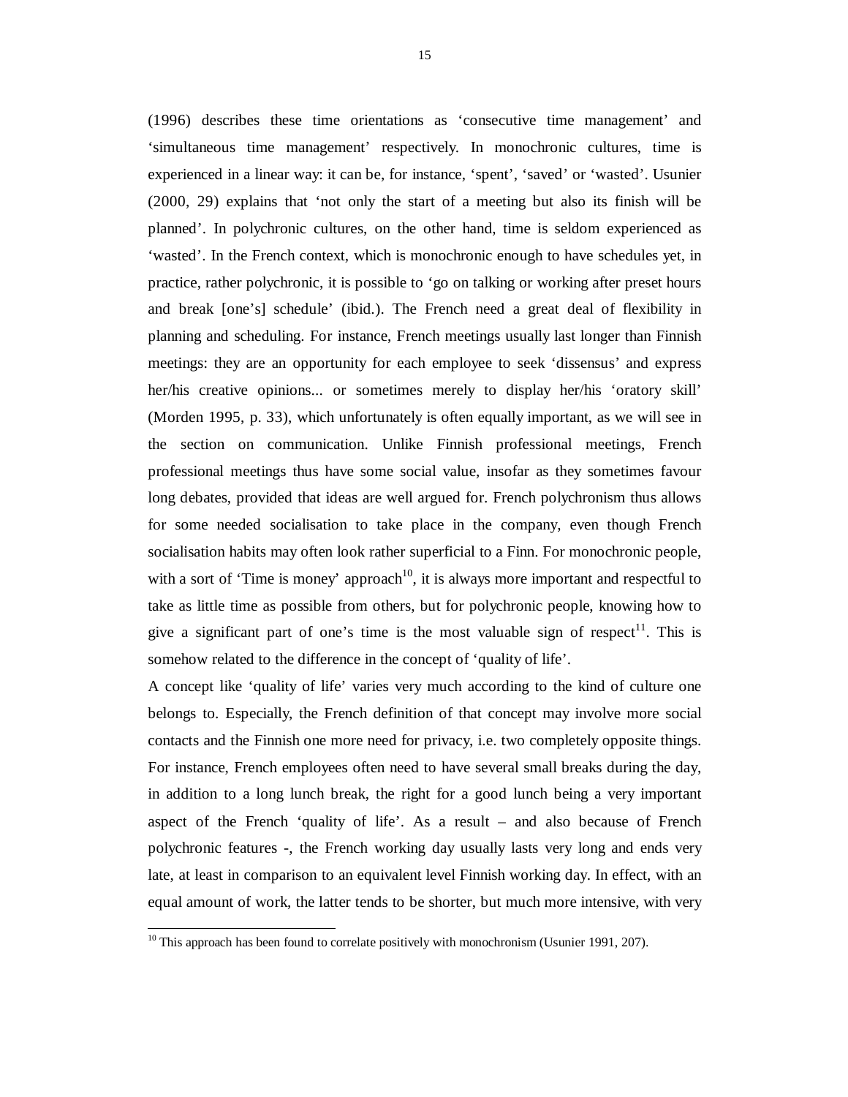(1996) describes these time orientations as 'consecutive time management' and 'simultaneous time management' respectively. In monochronic cultures, time is experienced in a linear way: it can be, for instance, 'spent', 'saved' or 'wasted'. Usunier (2000, 29) explains that 'not only the start of a meeting but also its finish will be planned'. In polychronic cultures, on the other hand, time is seldom experienced as 'wasted'. In the French context, which is monochronic enough to have schedules yet, in practice, rather polychronic, it is possible to 'go on talking or working after preset hours and break [one's] schedule' (ibid.). The French need a great deal of flexibility in planning and scheduling. For instance, French meetings usually last longer than Finnish meetings: they are an opportunity for each employee to seek 'dissensus' and express her/his creative opinions... or sometimes merely to display her/his 'oratory skill' (Morden 1995, p. 33), which unfortunately is often equally important, as we will see in the section on communication. Unlike Finnish professional meetings, French professional meetings thus have some social value, insofar as they sometimes favour long debates, provided that ideas are well argued for. French polychronism thus allows for some needed socialisation to take place in the company, even though French socialisation habits may often look rather superficial to a Finn. For monochronic people, with a sort of 'Time is money' approach<sup>10</sup>, it is always more important and respectful to take as little time as possible from others, but for polychronic people, knowing how to give a significant part of one's time is the most valuable sign of respect<sup>11</sup>. This is somehow related to the difference in the concept of 'quality of life'.

A concept like 'quality of life' varies very much according to the kind of culture one belongs to. Especially, the French definition of that concept may involve more social contacts and the Finnish one more need for privacy, i.e. two completely opposite things. For instance, French employees often need to have several small breaks during the day, in addition to a long lunch break, the right for a good lunch being a very important aspect of the French 'quality of life'. As a result – and also because of French polychronic features -, the French working day usually lasts very long and ends very late, at least in comparison to an equivalent level Finnish working day. In effect, with an equal amount of work, the latter tends to be shorter, but much more intensive, with very

<sup>1</sup>  $10$  This approach has been found to correlate positively with monochronism (Usunier 1991, 207).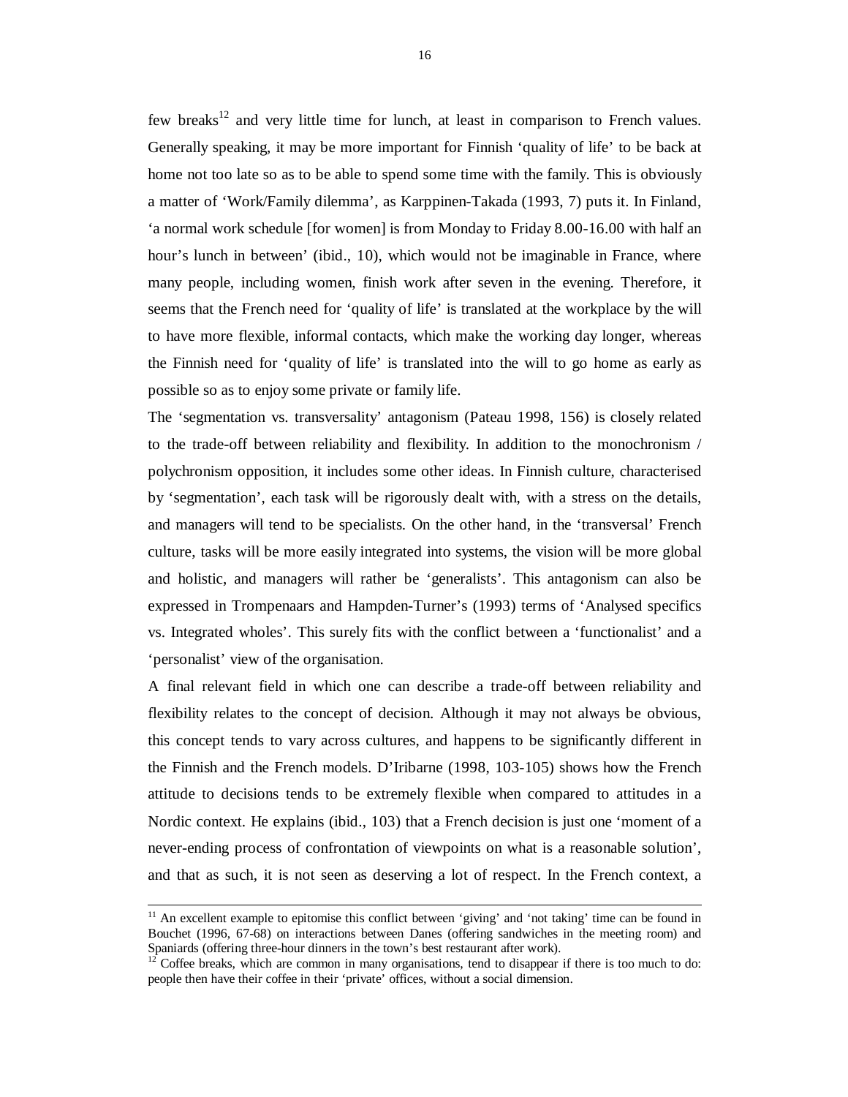few breaks<sup>12</sup> and very little time for lunch, at least in comparison to French values. Generally speaking, it may be more important for Finnish 'quality of life' to be back at home not too late so as to be able to spend some time with the family. This is obviously a matter of 'Work/Family dilemma', as Karppinen-Takada (1993, 7) puts it. In Finland, 'a normal work schedule [for women] is from Monday to Friday 8.00-16.00 with half an hour's lunch in between' (ibid., 10), which would not be imaginable in France, where many people, including women, finish work after seven in the evening. Therefore, it seems that the French need for 'quality of life' is translated at the workplace by the will to have more flexible, informal contacts, which make the working day longer, whereas the Finnish need for 'quality of life' is translated into the will to go home as early as possible so as to enjoy some private or family life.

The 'segmentation vs. transversality' antagonism (Pateau 1998, 156) is closely related to the trade-off between reliability and flexibility. In addition to the monochronism / polychronism opposition, it includes some other ideas. In Finnish culture, characterised by 'segmentation', each task will be rigorously dealt with, with a stress on the details, and managers will tend to be specialists. On the other hand, in the 'transversal' French culture, tasks will be more easily integrated into systems, the vision will be more global and holistic, and managers will rather be 'generalists'. This antagonism can also be expressed in Trompenaars and Hampden-Turner's (1993) terms of 'Analysed specifics vs. Integrated wholes'. This surely fits with the conflict between a 'functionalist' and a 'personalist' view of the organisation.

A final relevant field in which one can describe a trade-off between reliability and flexibility relates to the concept of decision. Although it may not always be obvious, this concept tends to vary across cultures, and happens to be significantly different in the Finnish and the French models. D'Iribarne (1998, 103-105) shows how the French attitude to decisions tends to be extremely flexible when compared to attitudes in a Nordic context. He explains (ibid., 103) that a French decision is just one 'moment of a never-ending process of confrontation of viewpoints on what is a reasonable solution', and that as such, it is not seen as deserving a lot of respect. In the French context, a

 $11$  An excellent example to epitomise this conflict between 'giving' and 'not taking' time can be found in Bouchet (1996, 67-68) on interactions between Danes (offering sandwiches in the meeting room) and Spaniards (offering three-hour dinners in the town's best restaurant after work).

 $12^1$  Coffee breaks, which are common in many organisations, tend to disappear if there is too much to do: people then have their coffee in their 'private' offices, without a social dimension.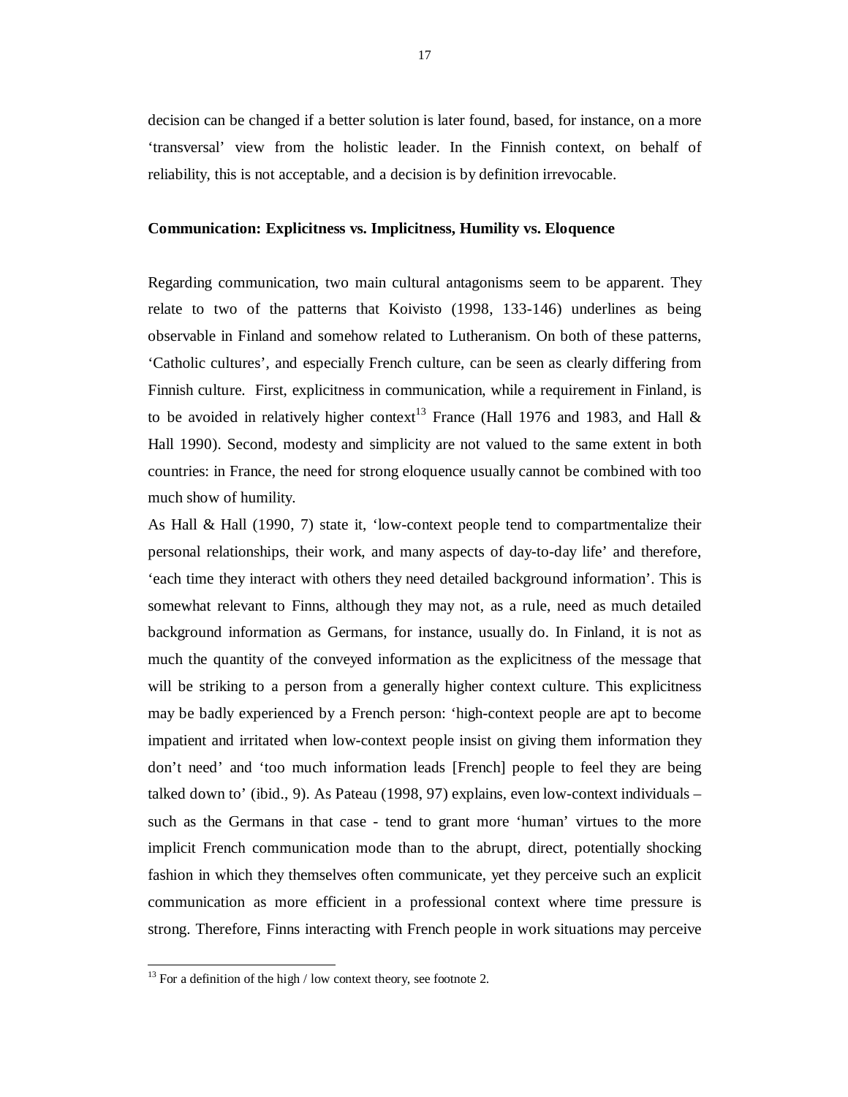decision can be changed if a better solution is later found, based, for instance, on a more 'transversal' view from the holistic leader. In the Finnish context, on behalf of reliability, this is not acceptable, and a decision is by definition irrevocable.

### **Communication: Explicitness vs. Implicitness, Humility vs. Eloquence**

Regarding communication, two main cultural antagonisms seem to be apparent. They relate to two of the patterns that Koivisto (1998, 133-146) underlines as being observable in Finland and somehow related to Lutheranism. On both of these patterns, 'Catholic cultures', and especially French culture, can be seen as clearly differing from Finnish culture. First, explicitness in communication, while a requirement in Finland, is to be avoided in relatively higher context<sup>13</sup> France (Hall 1976 and 1983, and Hall  $\&$ Hall 1990). Second, modesty and simplicity are not valued to the same extent in both countries: in France, the need for strong eloquence usually cannot be combined with too much show of humility.

As Hall & Hall (1990, 7) state it, 'low-context people tend to compartmentalize their personal relationships, their work, and many aspects of day-to-day life' and therefore, 'each time they interact with others they need detailed background information'. This is somewhat relevant to Finns, although they may not, as a rule, need as much detailed background information as Germans, for instance, usually do. In Finland, it is not as much the quantity of the conveyed information as the explicitness of the message that will be striking to a person from a generally higher context culture. This explicitness may be badly experienced by a French person: 'high-context people are apt to become impatient and irritated when low-context people insist on giving them information they don't need' and 'too much information leads [French] people to feel they are being talked down to' (ibid., 9). As Pateau (1998, 97) explains, even low-context individuals – such as the Germans in that case - tend to grant more 'human' virtues to the more implicit French communication mode than to the abrupt, direct, potentially shocking fashion in which they themselves often communicate, yet they perceive such an explicit communication as more efficient in a professional context where time pressure is strong. Therefore, Finns interacting with French people in work situations may perceive

-

 $13$  For a definition of the high / low context theory, see footnote 2.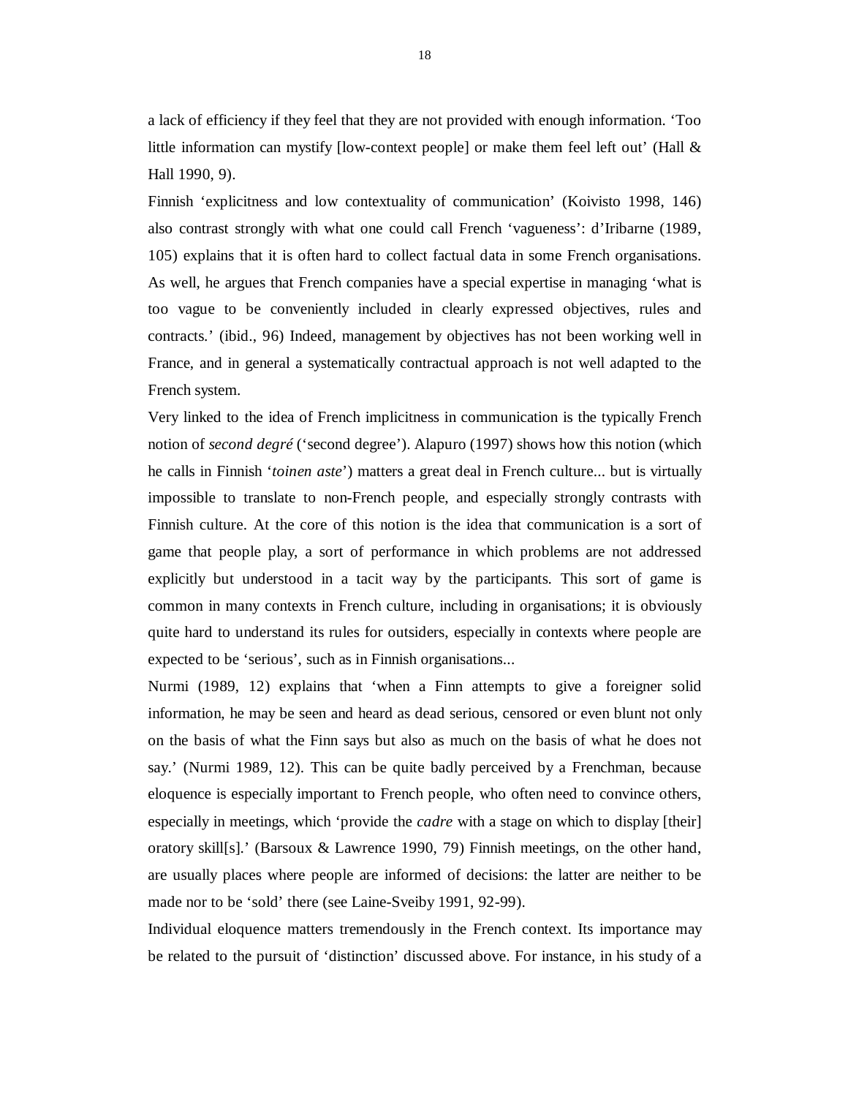a lack of efficiency if they feel that they are not provided with enough information. 'Too little information can mystify [low-context people] or make them feel left out' (Hall  $\&$ Hall 1990, 9).

Finnish 'explicitness and low contextuality of communication' (Koivisto 1998, 146) also contrast strongly with what one could call French 'vagueness': d'Iribarne (1989, 105) explains that it is often hard to collect factual data in some French organisations. As well, he argues that French companies have a special expertise in managing 'what is too vague to be conveniently included in clearly expressed objectives, rules and contracts.' (ibid., 96) Indeed, management by objectives has not been working well in France, and in general a systematically contractual approach is not well adapted to the French system.

Very linked to the idea of French implicitness in communication is the typically French notion of *second degré* ('second degree'). Alapuro (1997) shows how this notion (which he calls in Finnish '*toinen aste*') matters a great deal in French culture... but is virtually impossible to translate to non-French people, and especially strongly contrasts with Finnish culture. At the core of this notion is the idea that communication is a sort of game that people play, a sort of performance in which problems are not addressed explicitly but understood in a tacit way by the participants. This sort of game is common in many contexts in French culture, including in organisations; it is obviously quite hard to understand its rules for outsiders, especially in contexts where people are expected to be 'serious', such as in Finnish organisations...

Nurmi (1989, 12) explains that 'when a Finn attempts to give a foreigner solid information, he may be seen and heard as dead serious, censored or even blunt not only on the basis of what the Finn says but also as much on the basis of what he does not say.' (Nurmi 1989, 12). This can be quite badly perceived by a Frenchman, because eloquence is especially important to French people, who often need to convince others, especially in meetings, which 'provide the *cadre* with a stage on which to display [their] oratory skill[s].' (Barsoux & Lawrence 1990, 79) Finnish meetings, on the other hand, are usually places where people are informed of decisions: the latter are neither to be made nor to be 'sold' there (see Laine-Sveiby 1991, 92-99).

Individual eloquence matters tremendously in the French context. Its importance may be related to the pursuit of 'distinction' discussed above. For instance, in his study of a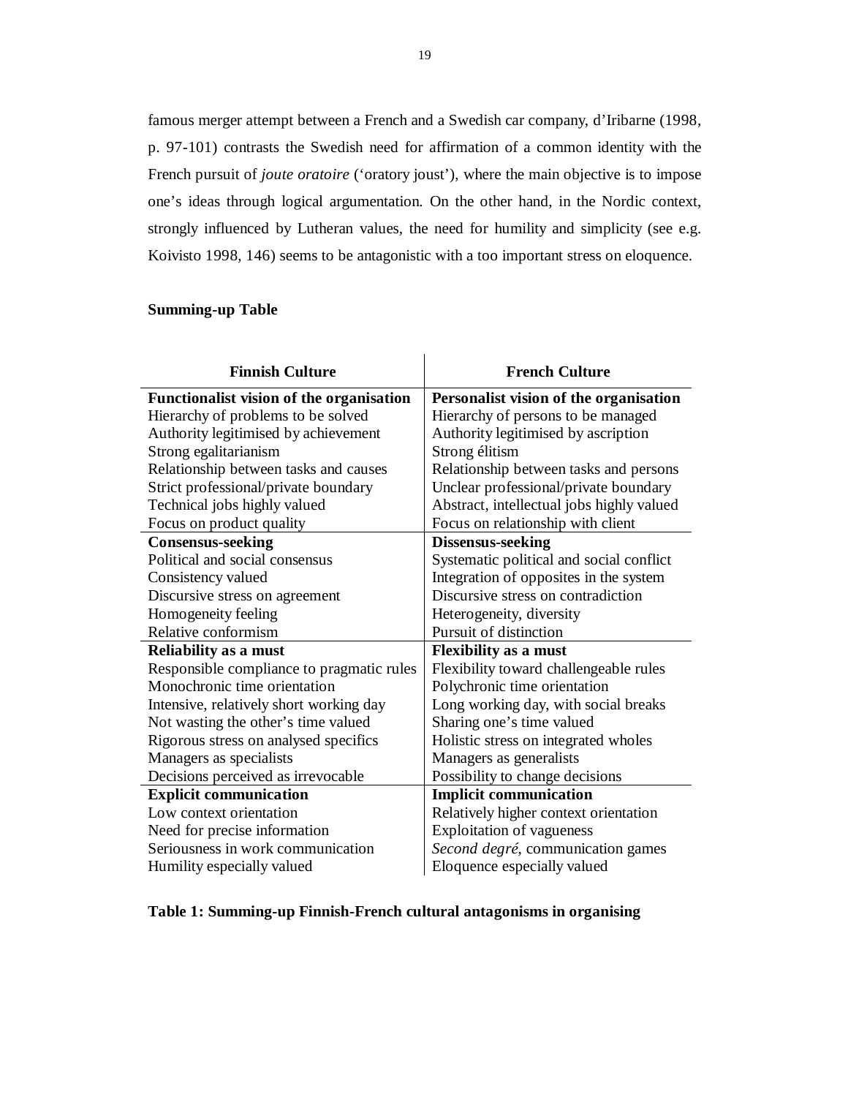famous merger attempt between a French and a Swedish car company, d'Iribarne (1998, p. 97-101) contrasts the Swedish need for affirmation of a common identity with the French pursuit of *joute oratoire* ('oratory joust'), where the main objective is to impose one's ideas through logical argumentation. On the other hand, in the Nordic context, strongly influenced by Lutheran values, the need for humility and simplicity (see e.g. Koivisto 1998, 146) seems to be antagonistic with a too important stress on eloquence.

J.

### **Summing-up Table**

| <b>Finnish Culture</b>                    | <b>French Culture</b>                     |
|-------------------------------------------|-------------------------------------------|
| Functionalist vision of the organisation  | Personalist vision of the organisation    |
| Hierarchy of problems to be solved        | Hierarchy of persons to be managed        |
| Authority legitimised by achievement      | Authority legitimised by ascription       |
| Strong egalitarianism                     | Strong élitism                            |
| Relationship between tasks and causes     | Relationship between tasks and persons    |
| Strict professional/private boundary      | Unclear professional/private boundary     |
| Technical jobs highly valued              | Abstract, intellectual jobs highly valued |
| Focus on product quality                  | Focus on relationship with client         |
| <b>Consensus-seeking</b>                  | <b>Dissensus-seeking</b>                  |
| Political and social consensus            | Systematic political and social conflict  |
| Consistency valued                        | Integration of opposites in the system    |
| Discursive stress on agreement            | Discursive stress on contradiction        |
| Homogeneity feeling                       | Heterogeneity, diversity                  |
| Relative conformism                       | Pursuit of distinction                    |
| <b>Reliability as a must</b>              | <b>Flexibility as a must</b>              |
| Responsible compliance to pragmatic rules | Flexibility toward challengeable rules    |
| Monochronic time orientation              | Polychronic time orientation              |
| Intensive, relatively short working day   | Long working day, with social breaks      |
| Not wasting the other's time valued       | Sharing one's time valued                 |
| Rigorous stress on analysed specifics     | Holistic stress on integrated wholes      |
| Managers as specialists                   | Managers as generalists                   |
| Decisions perceived as irrevocable        | Possibility to change decisions           |
| <b>Explicit communication</b>             | <b>Implicit communication</b>             |
| Low context orientation                   | Relatively higher context orientation     |
| Need for precise information              | <b>Exploitation of vagueness</b>          |
| Seriousness in work communication         | Second degré, communication games         |
| Humility especially valued                | Eloquence especially valued               |

## **Table 1: Summing-up Finnish-French cultural antagonisms in organising**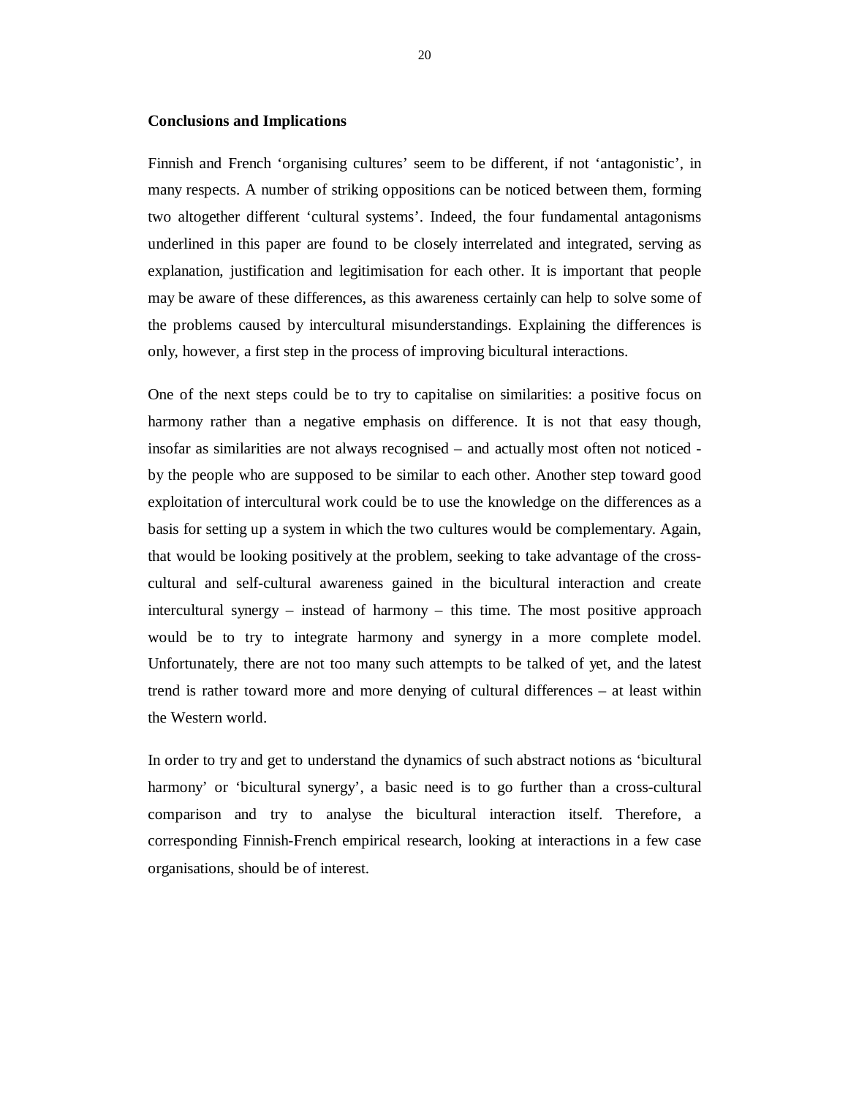#### **Conclusions and Implications**

Finnish and French 'organising cultures' seem to be different, if not 'antagonistic', in many respects. A number of striking oppositions can be noticed between them, forming two altogether different 'cultural systems'. Indeed, the four fundamental antagonisms underlined in this paper are found to be closely interrelated and integrated, serving as explanation, justification and legitimisation for each other. It is important that people may be aware of these differences, as this awareness certainly can help to solve some of the problems caused by intercultural misunderstandings. Explaining the differences is only, however, a first step in the process of improving bicultural interactions.

One of the next steps could be to try to capitalise on similarities: a positive focus on harmony rather than a negative emphasis on difference. It is not that easy though, insofar as similarities are not always recognised – and actually most often not noticed by the people who are supposed to be similar to each other. Another step toward good exploitation of intercultural work could be to use the knowledge on the differences as a basis for setting up a system in which the two cultures would be complementary. Again, that would be looking positively at the problem, seeking to take advantage of the crosscultural and self-cultural awareness gained in the bicultural interaction and create intercultural synergy – instead of harmony – this time. The most positive approach would be to try to integrate harmony and synergy in a more complete model. Unfortunately, there are not too many such attempts to be talked of yet, and the latest trend is rather toward more and more denying of cultural differences – at least within the Western world.

In order to try and get to understand the dynamics of such abstract notions as 'bicultural harmony' or 'bicultural synergy', a basic need is to go further than a cross-cultural comparison and try to analyse the bicultural interaction itself. Therefore, a corresponding Finnish-French empirical research, looking at interactions in a few case organisations, should be of interest.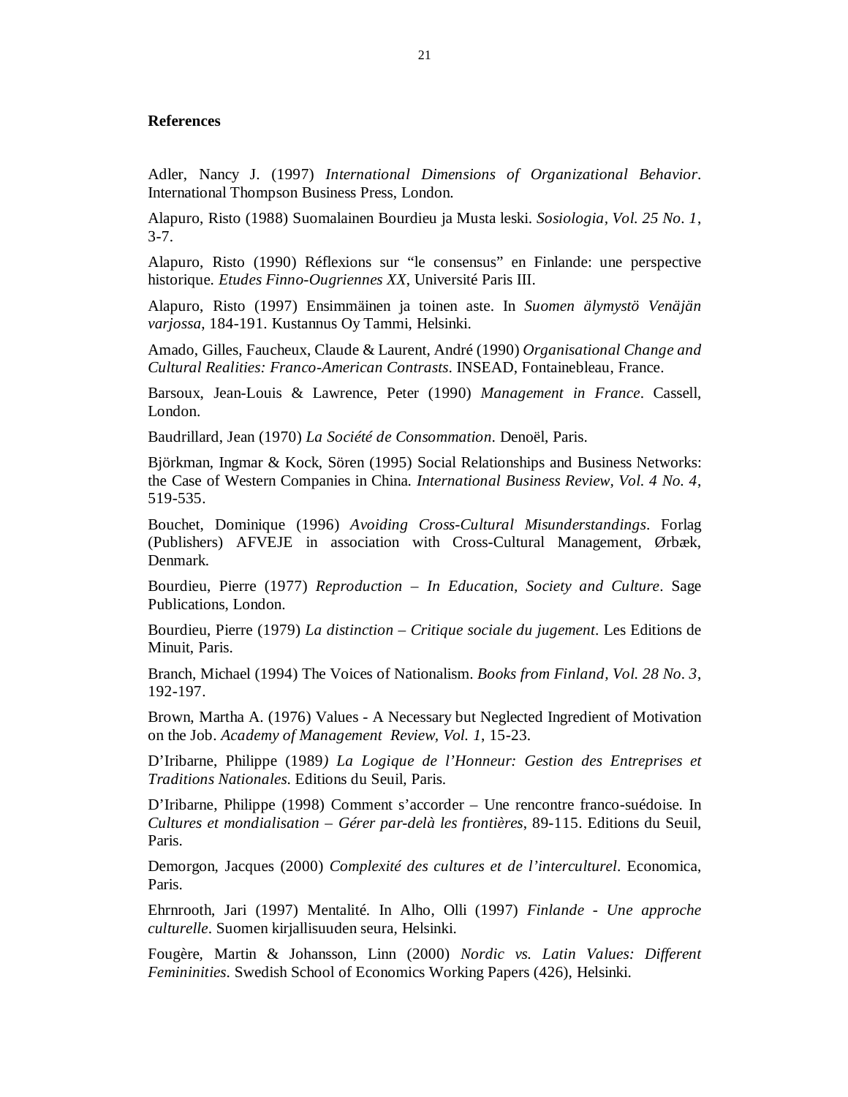#### **References**

Adler, Nancy J. (1997) *International Dimensions of Organizational Behavior*. International Thompson Business Press, London.

Alapuro, Risto (1988) Suomalainen Bourdieu ja Musta leski. *Sosiologia, Vol. 25 No. 1*, 3-7.

Alapuro, Risto (1990) Réflexions sur "le consensus" en Finlande: une perspective historique. *Etudes Finno-Ougriennes XX*, Université Paris III.

Alapuro, Risto (1997) Ensimmäinen ja toinen aste. In *Suomen älymystö Venäjän varjossa*, 184-191. Kustannus Oy Tammi, Helsinki.

Amado, Gilles, Faucheux, Claude & Laurent, André (1990) *Organisational Change and Cultural Realities: Franco-American Contrasts*. INSEAD, Fontainebleau, France.

Barsoux, Jean-Louis & Lawrence, Peter (1990) *Management in France*. Cassell, London.

Baudrillard, Jean (1970) *La Société de Consommation*. Denoël, Paris.

Björkman, Ingmar & Kock, Sören (1995) Social Relationships and Business Networks: the Case of Western Companies in China. *International Business Review, Vol. 4 No. 4*, 519-535.

Bouchet, Dominique (1996) *Avoiding Cross-Cultural Misunderstandings*. Forlag (Publishers) AFVEJE in association with Cross-Cultural Management, Ørbæk, Denmark.

Bourdieu, Pierre (1977) *Reproduction – In Education, Society and Culture*. Sage Publications, London.

Bourdieu, Pierre (1979) *La distinction – Critique sociale du jugement*. Les Editions de Minuit, Paris.

Branch, Michael (1994) The Voices of Nationalism. *Books from Finland, Vol. 28 No. 3*, 192-197.

Brown, Martha A. (1976) Values - A Necessary but Neglected Ingredient of Motivation on the Job. *Academy of Management Review, Vol. 1*, 15-23.

D'Iribarne, Philippe (1989*) La Logique de l'Honneur: Gestion des Entreprises et Traditions Nationales*. Editions du Seuil, Paris.

D'Iribarne, Philippe (1998) Comment s'accorder – Une rencontre franco-suédoise. In *Cultures et mondialisation – Gérer par-delà les frontières*, 89-115. Editions du Seuil, Paris.

Demorgon, Jacques (2000) *Complexité des cultures et de l'interculturel*. Economica, Paris.

Ehrnrooth, Jari (1997) Mentalité. In Alho, Olli (1997) *Finlande - Une approche culturelle*. Suomen kirjallisuuden seura, Helsinki.

Fougère, Martin & Johansson, Linn (2000) *Nordic vs. Latin Values: Different Femininities*. Swedish School of Economics Working Papers (426), Helsinki.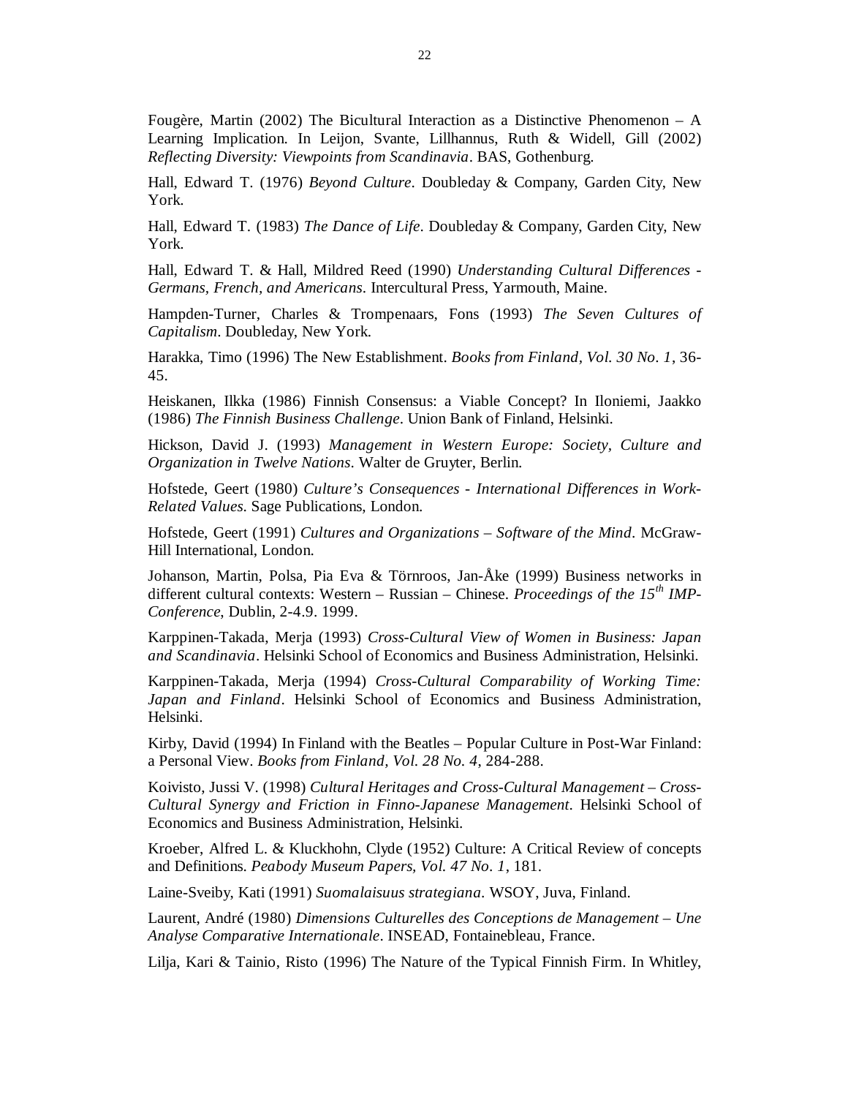Fougère, Martin (2002) The Bicultural Interaction as a Distinctive Phenomenon – A Learning Implication. In Leijon, Svante, Lillhannus, Ruth & Widell, Gill (2002) *Reflecting Diversity: Viewpoints from Scandinavia*. BAS, Gothenburg.

Hall, Edward T. (1976) *Beyond Culture*. Doubleday & Company, Garden City, New York.

Hall, Edward T. (1983) *The Dance of Life*. Doubleday & Company, Garden City, New York.

Hall, Edward T. & Hall, Mildred Reed (1990) *Understanding Cultural Differences - Germans, French, and Americans*. Intercultural Press, Yarmouth, Maine.

Hampden-Turner, Charles & Trompenaars, Fons (1993) *The Seven Cultures of Capitalism*. Doubleday, New York.

Harakka, Timo (1996) The New Establishment. *Books from Finland, Vol. 30 No. 1*, 36- 45.

Heiskanen, Ilkka (1986) Finnish Consensus: a Viable Concept? In Iloniemi, Jaakko (1986) *The Finnish Business Challenge*. Union Bank of Finland, Helsinki.

Hickson, David J. (1993) *Management in Western Europe: Society, Culture and Organization in Twelve Nations*. Walter de Gruyter, Berlin.

Hofstede, Geert (1980) *Culture's Consequences - International Differences in Work-Related Values*. Sage Publications, London.

Hofstede, Geert (1991) *Cultures and Organizations – Software of the Mind*. McGraw-Hill International, London.

Johanson, Martin, Polsa, Pia Eva & Törnroos, Jan-Åke (1999) Business networks in different cultural contexts: Western – Russian – Chinese. *Proceedings of the 15th IMP-Conference*, Dublin, 2-4.9. 1999.

Karppinen-Takada, Merja (1993) *Cross-Cultural View of Women in Business: Japan and Scandinavia*. Helsinki School of Economics and Business Administration, Helsinki.

Karppinen-Takada, Merja (1994) *Cross-Cultural Comparability of Working Time: Japan and Finland*. Helsinki School of Economics and Business Administration, Helsinki.

Kirby, David (1994) In Finland with the Beatles – Popular Culture in Post-War Finland: a Personal View. *Books from Finland, Vol. 28 No. 4*, 284-288.

Koivisto, Jussi V. (1998) *Cultural Heritages and Cross-Cultural Management – Cross-Cultural Synergy and Friction in Finno-Japanese Management*. Helsinki School of Economics and Business Administration, Helsinki.

Kroeber, Alfred L. & Kluckhohn, Clyde (1952) Culture: A Critical Review of concepts and Definitions. *Peabody Museum Papers, Vol. 47 No. 1*, 181.

Laine-Sveiby, Kati (1991) *Suomalaisuus strategiana*. WSOY, Juva, Finland.

Laurent, André (1980) *Dimensions Culturelles des Conceptions de Management – Une Analyse Comparative Internationale*. INSEAD, Fontainebleau, France.

Lilja, Kari & Tainio, Risto (1996) The Nature of the Typical Finnish Firm. In Whitley,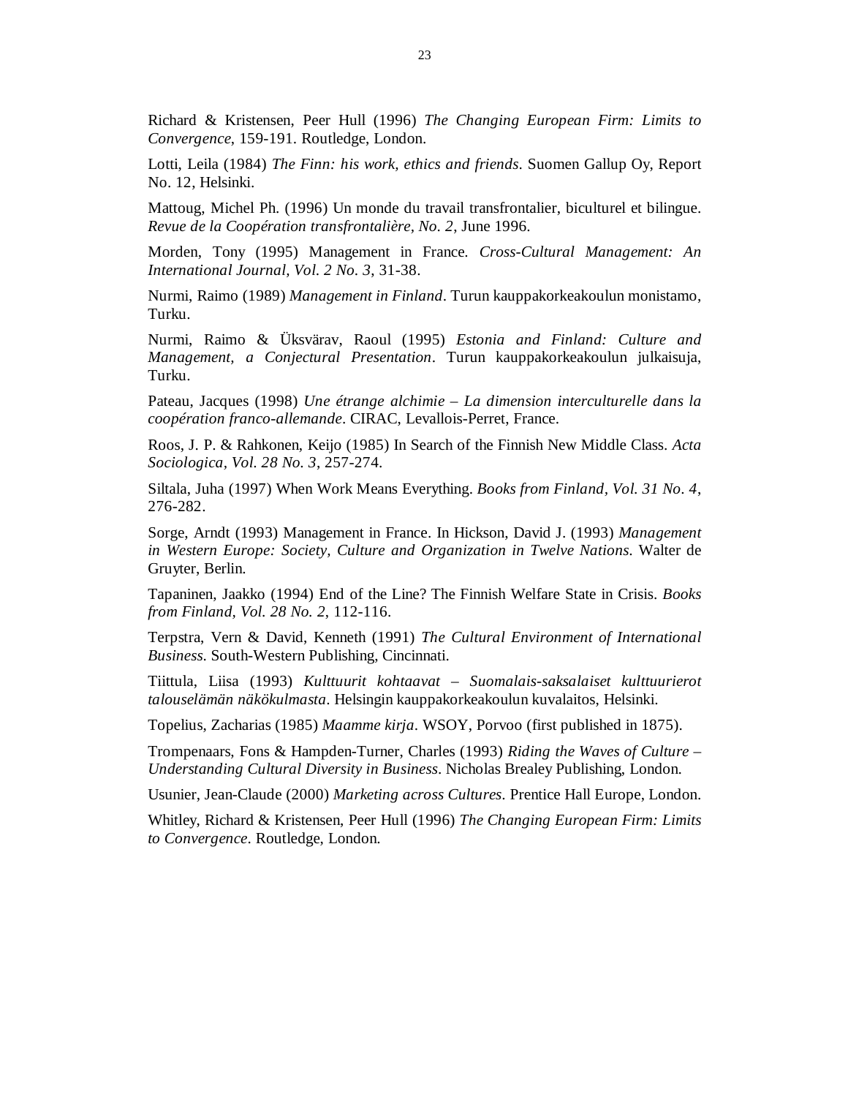Richard & Kristensen, Peer Hull (1996) *The Changing European Firm: Limits to Convergence*, 159-191. Routledge, London.

Lotti, Leila (1984) *The Finn: his work, ethics and friends*. Suomen Gallup Oy, Report No. 12, Helsinki.

Mattoug, Michel Ph. (1996) Un monde du travail transfrontalier, biculturel et bilingue. *Revue de la Coopération transfrontalière, No. 2*, June 1996.

Morden, Tony (1995) Management in France. *Cross-Cultural Management: An International Journal, Vol. 2 No. 3*, 31-38.

Nurmi, Raimo (1989) *Management in Finland*. Turun kauppakorkeakoulun monistamo, Turku.

Nurmi, Raimo & Üksvärav, Raoul (1995) *Estonia and Finland: Culture and Management, a Conjectural Presentation*. Turun kauppakorkeakoulun julkaisuja, Turku.

Pateau, Jacques (1998) *Une étrange alchimie – La dimension interculturelle dans la coopération franco-allemande*. CIRAC, Levallois-Perret, France.

Roos, J. P. & Rahkonen, Keijo (1985) In Search of the Finnish New Middle Class. *Acta Sociologica, Vol. 28 No. 3*, 257-274.

Siltala, Juha (1997) When Work Means Everything. *Books from Finland, Vol. 31 No. 4*, 276-282.

Sorge, Arndt (1993) Management in France. In Hickson, David J. (1993) *Management in Western Europe: Society, Culture and Organization in Twelve Nations*. Walter de Gruyter, Berlin.

Tapaninen, Jaakko (1994) End of the Line? The Finnish Welfare State in Crisis. *Books from Finland, Vol. 28 No. 2*, 112-116.

Terpstra, Vern & David, Kenneth (1991) *The Cultural Environment of International Business*. South-Western Publishing, Cincinnati.

Tiittula, Liisa (1993) *Kulttuurit kohtaavat – Suomalais-saksalaiset kulttuurierot talouselämän näkökulmasta*. Helsingin kauppakorkeakoulun kuvalaitos, Helsinki.

Topelius, Zacharias (1985) *Maamme kirja*. WSOY, Porvoo (first published in 1875).

Trompenaars, Fons & Hampden-Turner, Charles (1993) *Riding the Waves of Culture – Understanding Cultural Diversity in Business*. Nicholas Brealey Publishing, London.

Usunier, Jean-Claude (2000) *Marketing across Cultures*. Prentice Hall Europe, London.

Whitley, Richard & Kristensen, Peer Hull (1996) *The Changing European Firm: Limits to Convergence*. Routledge, London.